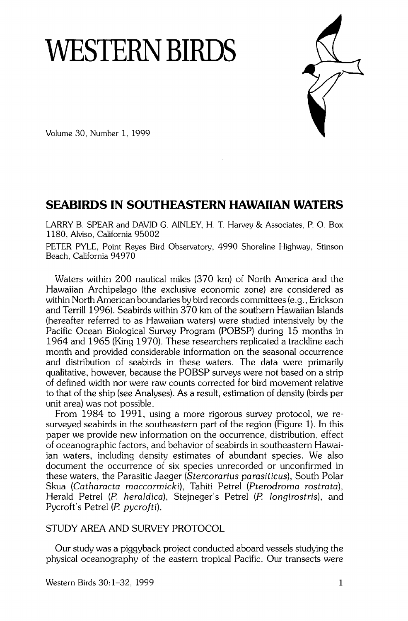# **WESTERN BIRDS**



**Volume 30, Number 1, 1999** 

# **SEABIRDS IN SOUTHEASTERN HAWAIIAN WATERS**

**LARRY B. SPEAR and DAVID G. AINLEY, H. T. Harvey & Associates, P.O. Box 1180, Alviso, California 95002** 

**PETER PYLE, Point Reyes Bird Observatory, 4990 Shoreline Highway, Stinson Beach, California 94970** 

**Waters within 200 nautical miles (370 km) of North America and the Hawaiian Archipelago (the exclusive economic zone) are considered as within North American boundaries by bird records committees (e.g., Erickson and Terrill 1996). Seabirds within 370 km of the southern Hawaiian Islands (hereafter referred to as Hawaiian waters) were studied intensively by the Pacific Ocean Biological Survey Program (POBSP) during 15 months in 1964 and 1965 (King 1970). These researchers replicated a trackline each month and provided considerable information on the seasonal occurrence and distribution of seabirds in these waters. The data were primarily qualitative, however, because the POBSP surveys were not based on a strip of defined width nor were raw counts corrected for bird movement relative to that of the ship (see Analyses). As a result, estimation of density (birds per unit area) was not possible.** 

**From 1984 to 1991, using a more rigorous survey protocol, we resurveyed seabirds in the southeastern part of the region (Figure 1). In this paper we provide new information on the occurrence, distribution, effect of oceanographic factors, and behavior of seabirds in southeastern Hawaiian waters, including density estimates of abundant species. We also document the occurrence of six species unrecorded or unconfirmed in these waters, the Parasitic Jaeger (Stercorarius parasiticus), South Polar Skua (Catharacta maccormicki), Tahiti Petrel (Pterodroma rostrata), Herald Petrel (P. heraldica), Stejneger's Petrel (P. Iongirostris), and Pycroft's Petrel (P. pycrofti).** 

## **STUDY AREA AND SURVEY PROTOCOL**

**Our study was a piggyback project conducted aboard vessels studying the physical oceanography of the eastern tropical Pacific. Our transects were**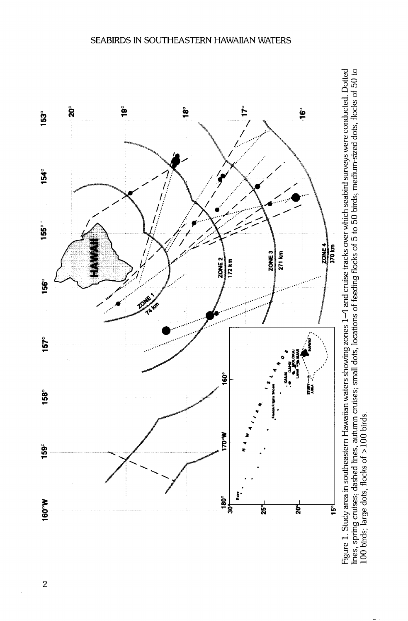



 $\overline{2}$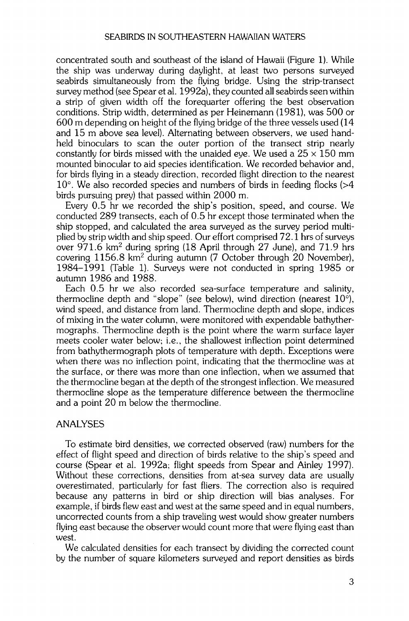**concentrated south and southeast of the island of Hawaii (Figure 1). While the ship was underway during daylight, at least two persons surveyed seabirds simultaneously from the flying bridge. Using the strip-transect**  survey method (see Spear et al. 1992a), they counted all seabirds seen within **a strip of given width off the forequarter offering the best observation conditions. Strip width, determined as per Heinemann (1981), was 500 or 600 m depending on height of the flying bridge of the three vessels used (14 and 15 m above sea level). Alternating between observers, we used handheld binoculars to scan the outer portion of the transect strip nearly constantly for birds missed with the unaided eye. We used a 25 x 150 mm mounted binocular to aid species identification. We recorded behavior and, for birds flying in a steady direction, recorded flight direction to the nearest 10 ø. We also recorded species and numbers of birds in feeding flocks (>4 birds pursuing prey) that passed within 2000 m.** 

**Every 0.5 hr we recorded the ship's position, speed, and course. We conducted 289 transects, each of 0.5 hr except those terminated when the ship stopped, and calculated the area surveyed as the survey period multiplied by strip width and ship speed. Our effort comprised 72.1 hrs of surveys**  over 971.6 km<sup>2</sup> during spring (18 April through 27 June), and 71.9 hrs covering 1156.8 km<sup>2</sup> during autumn (7 October through 20 November), **1984-1991 (Table 1). Surveys were not conducted in spring 1985 or autumn 1986 and 1988.** 

**Each 0.5 hr we also recorded sea-surface temperature and salinity,**  thermocline depth and "slope" (see below), wind direction (nearest 10°), wind speed, and distance from land. Thermocline depth and slope, indices **of mixing in the water column, were monitored with expendable bathythermographs. Thermocline depth is the point where the warm surface layer meets cooler water below; i.e., the shallowest inflection point determined from bathythermograph plots of temperature with depth. Exceptions were when there was no inflection point, indicating that the thermocline was at the surface, or there was more than one inflection, when we assumed that the thermocline began at the depth of the strongest inflection. We measured thermocline slope as the temperature difference between the thermocline and a point 20 m below the thermocline.** 

## **ANALYSES**

**To estimate bird densities, we corrected observed (raw) numbers for the effect of flight speed and direction of birds relative to the ship's speed and course (Spear et al. 1992a; flight speeds from Spear and Ainley 1997). Without these corrections, densities from at-sea survey data are usually overestimated, particularly for fast fliers. The correction also is required because any patterns in bird or ship direction will bias analyses. For example, if birds flew east and west at the same speed and in equal numbers, uncorrected counts from a ship traveling west would show greater numbers flying east because the observer would count more that were flying east than west.** 

**We calculated densities for each transect by dividing the corrected count by the number of square kilometers surveyed and report densities as birds**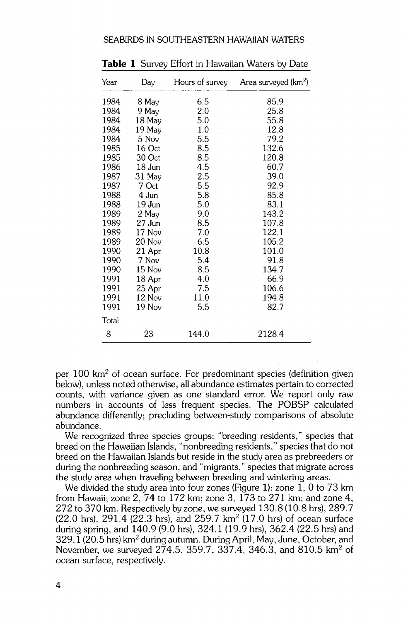| Year  | Day      | Hours of survey | Area surveyed (km <sup>2</sup> ) |
|-------|----------|-----------------|----------------------------------|
| 1984  | 8 May    | 6.5             | 85.9                             |
| 1984  | 9 May    | 2.0             | 25.8                             |
| 1984  | 18 May   | 5.0             | 55.8                             |
| 1984  | 19 May   | 1.0             | 12.8                             |
| 1984  | 5 Nov    | 5.5             | 79.2                             |
| 1985  | 16 Oct   | 8.5             | 132.6                            |
| 1985  | 30 Oct   | 8.5             | 120.8                            |
| 1986  | 18 Jun   | 4.5             | 60.7                             |
| 1987  | $31$ May | 2.5             | 39.0                             |
| 1987  | 7 Oct    | 5.5             | 92.9                             |
| 1988  | 4 Jun    | 5.8             | 85.8                             |
| 1988  | 19 Jun   | 5.0             | 83.1                             |
| 1989  | 2 May    | 9.0             | 143.2                            |
| 1989  | 27 Jun   | 8.5             | 107.8                            |
| 1989  | 17 Nov   | 7.0             | 122.1                            |
| 1989  | 20 Nov   | 6.5             | 105.2                            |
| 1990  | 21 Apr   | 10.8            | 101.0                            |
| 1990  | 7 Nov    | 5.4             | 91.8                             |
| 1990  | 15 Nov   | 8.5             | 134.7                            |
| 1991  | 18 Apr   | 4.0             | 66.9                             |
| 1991  | 25 Apr   | 7.5             | 106.6                            |
| 1991  | 12 Nov   | 11.0            | 194.8                            |
| 1991  | 19 Nov   | 5.5             | 82.7                             |
| Total |          |                 |                                  |
| 8     | 23       | 144.0           | 2128.4                           |

**Table 1 Survey Effort in Hawaiian Waters by Date** 

per 100 km<sup>2</sup> of ocean surface. For predominant species (definition given **below), unless noted otherwise, all abundance estimates pertain to corrected counts, with variance given as one standard error. We report only raw numbers in accounts of less frequent species. The POBSP calculated abundance differently; precluding between-study comparisons of absolute abundance.** 

**We recognized three species groups: "breeding residents," species that breed on the Hawaiian Islands, "nonbreeding residents," species that do not breed on the Hawaiian Islands but reside in the study area as prebreeders or during the nonbreeding season, and "migrants," species that migrate across the study area when traveling between breeding and wintering areas.** 

**We divided the study area into four zones (Figure 1): zone 1, 0 to 73 km from Hawaii; zone 2, 74 to 172 km; zone 3, 173 to 271 km; and zone 4, 272 to 370 km. Respectively by zone, we surveyed 130.8 (10.8 hrs), 289.7**  (22.0 hrs), 291.4 (22.3 hrs), and 259.7 km<sup>2</sup> (17.0 hrs) of ocean surface during spring, and 140.9 (9.0 hrs), 324.1 (19.9 hrs), 362.4 (22.5 hrs) and 329.1 (20.5 hrs) km<sup>2</sup> during autumn. During April, May, June, October, and November, we surveyed 274.5, 359.7, 337.4, 346.3, and 810.5 km<sup>2</sup> of **ocean surface, respectively.**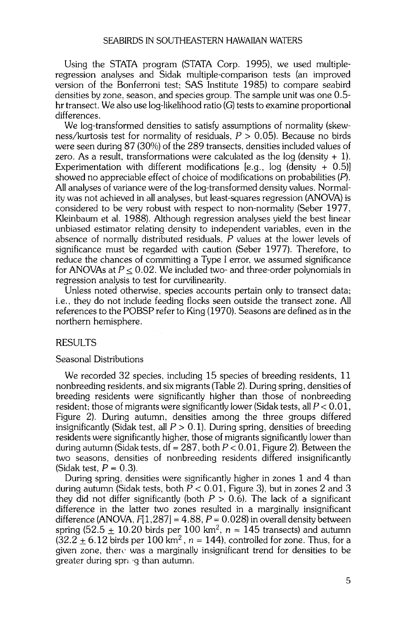**Using the STATA program (STATA Corp. 1995), we used multipleregression analyses and Sidak multiple-comparison tests (an improved version of the Bonferroni test; SAS Institute 1985) to compare seabird densities by zone, season, and species group. The sample unit was one 0.5 hr transect. We also use log-likelihood ratio (G) tests to examine proportional differences.** 

**We log-transformed densities to satisfy assumptions of normality (skewness/kurtosis test for normality of residuals, P > 0.05). Because no birds were seen during 87 (30%) of the 289 transects, densities included values of zero. As a result, transformations were calculated as the log (density + 1). Experimentation with different modifications [e.g., log (density + 0.5)]**  showed no appreciable effect of choice of modifications on probabilities (P). All analyses of variance were of the log-transformed density values. Normal**ity was not achieved in all analyses, but least-squares regression (ANOVA) is considered to be very robust with respect to non-normality (Seber 1977, Kleinbaum et al. 1988). Although regression analyses yield the best linear unbiased estimator relating density to independent variables, even in the**  absence of normally distributed residuals, P values at the lower levels of **significance must be regarded with caution (Seber 1977). Therefore, to reduce the chances of committing a Type I error, we assumed significance**  for ANOVAs at  $P < 0.02$ . We included two- and three-order polynomials in **regression analysis to test for curvilinearity.** 

**Unless noted otherwise, species accounts pertain only to transect data; i.e., they do not include feeding flocks seen outside the transect zone. All references to the POBSP refer to King (1970). Seasons are defined as in the northern hemisphere.** 

## **RESULTS**

## **Seasonal Distributions**

**We recorded 32 species, including 15 species of breeding residents, 11 nonbreeding residents, and six migrants (Table 2). During spring, densities of breeding residents were significantly higher than those of nonbreeding**  resident; those of migrants were significantly lower (Sidak tests, all  $P < 0.01$ , **Figure 2). During autumn, densities among the three groups differed**  insignificantly (Sidak test, all  $P > 0.1$ ). During spring, densities of breeding **residents were significantly higher, those of migrants significantly lower than**  during autumn (Sidak tests,  $df = 287$ , both  $P < 0.01$ , Figure 2). Between the **two seasons, densities of nonbreeding residents differed insignificantly (Sidak test,**  $P = 0.3$ **).** 

**During spring, densities were significantly higher in zones 1 and 4 than during autumn (Sidak tests, both ? < 0.01, Figure 3), but in zones 2 and 3**  they did not differ significantly (both  $P > 0.6$ ). The lack of a significant **difference in the latter two zones resulted in a marginally insignificant difference (ANOVA, F[1,287] = 4.88, ? = 0.028) in overall density between**  spring (52.5  $\pm$  10.20 birds per 100 km<sup>2</sup>,  $n = 145$  transects) and autumn  $(32.2 + 6.12$  birds per 100 km<sup>2</sup>,  $n = 144$ ), controlled for zone. Thus, for a given zone, there was a marginally insignificant trend for densities to be greater during spri<sub>ng</sub> than autumn.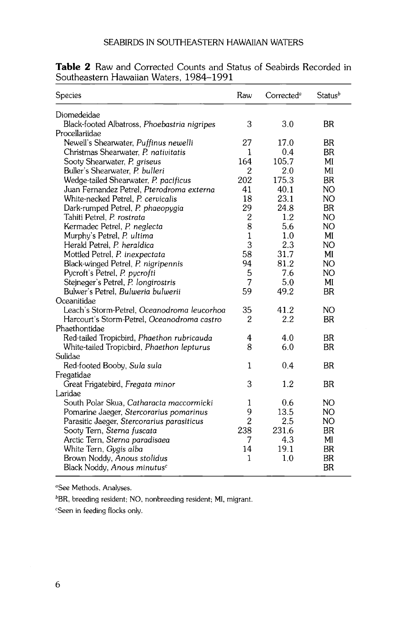| <b>Species</b>                               | Raw              | Corrected <sup>a</sup> | <b>Status</b> <sup>b</sup> |
|----------------------------------------------|------------------|------------------------|----------------------------|
| Diomedeidae                                  |                  |                        |                            |
| Black-footed Albatross, Phoebastria nigripes | 3                | 3.0                    | BR                         |
| Procellariidae                               |                  |                        |                            |
| Newell's Shearwater, Puffinus newelli        | 27               | 17.0                   | <b>BR</b>                  |
| Christmas Shearwater, P. nativitatis         | 1                | 0.4                    | <b>BR</b>                  |
| Sooty Shearwater, P. griseus                 | 164              | 105.7                  | MI                         |
| Buller's Shearwater, P. bulleri              | $\overline{2}$   | 2.0                    | MI                         |
| Wedge-tailed Shearwater, P. pacificus        | 202              | 175.3                  | <b>BR</b>                  |
| Juan Fernandez Petrel, Pterodroma externa    | 41               | 40.1                   | NO                         |
| White-necked Petrel, P. cervicalis           | 18               | 23.1                   | NO                         |
| Dark-rumped Petrel, P. phaeopygia            | 29               | 24.8                   | <b>BR</b>                  |
| Tahiti Petrel, P. rostrata                   | $\boldsymbol{2}$ | 1.2                    | NO                         |
| Kermadec Petrel, P. neglecta                 | 8                | 5.6                    | NO                         |
| Murphy's Petrel, P. ultima                   | $\mathbf{1}$     | 1.0                    | MI                         |
| Herald Petrel, P. heraldica                  | 3                | 2.3                    | NO                         |
| Mottled Petrel, P. inexpectata               | 58               | 31.7                   | MI                         |
| Black-winged Petrel, P. nigripennis          | 94               | 81.2                   | NO                         |
| Pycroft's Petrel, P. pycrofti                | 5                | 7.6                    | NO                         |
| Stejneger's Petrel, P. longirostris          | 7                | 5.0                    | MI                         |
| Bulwer's Petrel, Bulweria bulwerii           | 59               | 49.2                   | <b>BR</b>                  |
| Oceanitidae                                  |                  |                        |                            |
| Leach's Storm-Petrel, Oceanodroma leucorhoa  | 35               | 41.2                   | NO.                        |
| Harcourt's Storm-Petrel, Oceanodroma castro  | 2                | 2.2                    | <b>BR</b>                  |
| Phaethontidae                                |                  |                        |                            |
| Red-tailed Tropicbird, Phaethon rubricauda   | 4                | 4.0                    | <b>BR</b>                  |
| White-tailed Tropicbird, Phaethon lepturus   | 8                | 6.0                    | BR                         |
| Sulidae                                      |                  |                        |                            |
| Red-footed Booby, Sula sula                  | 1                | 0.4                    | <b>BR</b>                  |
| Fregatidae                                   |                  |                        |                            |
| Great Frigatebird, Fregata minor             | 3                | $1.2\,$                | BR                         |
| Laridae                                      |                  |                        |                            |
| South Polar Skua, Catharacta maccormicki     | 1                | 0.6                    | NO                         |
| Pomarine Jaeger, Stercorarius pomarinus      | 9                | 13.5                   | NO.                        |
| Parasitic Jaeger, Stercorarius parasiticus   | $\overline{2}$   | 2.5                    | NO                         |
| Sooty Tern, Sterna fuscata                   | 238              | 231.6                  | <b>BR</b>                  |
| Arctic Tern, Sterna paradisaea               | 7                | 4.3                    | MI                         |
| White Tern, Gygis alba                       | 14               | 19.1                   | <b>BR</b>                  |
| Brown Noddy, Anous stolidus                  | 1                | 1.0                    | <b>BR</b>                  |
| Black Noddy, Anous minutus <sup>c</sup>      |                  |                        | <b>BR</b>                  |

| Table 2 Raw and Corrected Counts and Status of Seabirds Recorded in |  |  |  |
|---------------------------------------------------------------------|--|--|--|
| Southeastern Hawaiian Waters, 1984–1991                             |  |  |  |

**aSee Methods, Analyses.** 

**bBR, breeding resident; NO, nonbreeding resident; MI, migrant.** 

**CSeen in feeding flocks only.**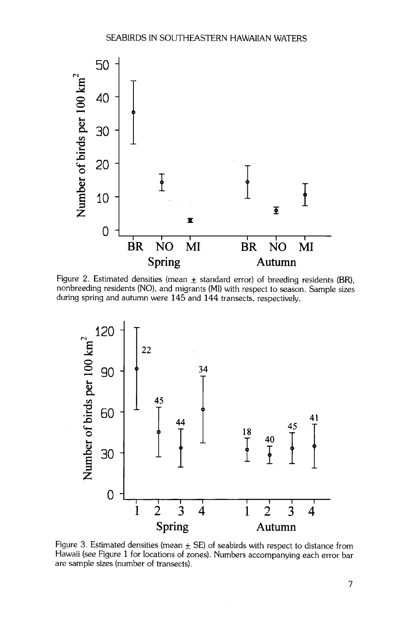

Figure 2. Estimated densities (mean  $\pm$  standard error) of breeding residents (BR), **nonbreeding residents (NO), and migrants (MI) with respect to season. Sample sizes during spring and autumn were 145 and 144 transects, respectively.** 



Figure 3. Estimated densities (mean  $\pm$  SE) of seabirds with respect to distance from **Hawaii (see Figure 1 for locations of zones). Numbers accompanying each error bar are sample sizes (number of transects).**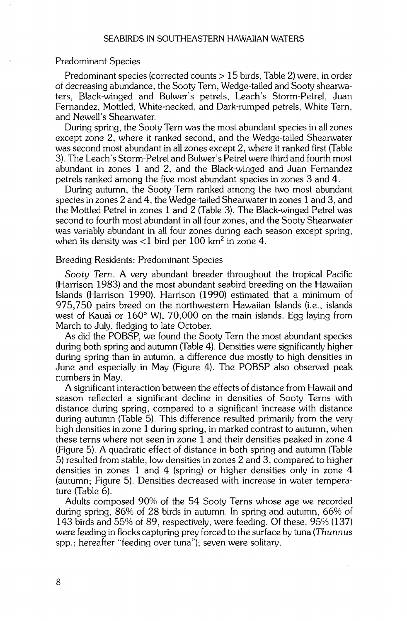## **Predominant Species**

**Predominant species (corrected counts > 15 birds, Table 2) were, in order of decreasing abundance, the Sooty Tern, Wedge-tailed and Sooty shearwaters, Black-winged and Bulwer's petrels, Leach's Storm-Petrel, Juan Fernandez, Mottled, White-necked, and Dark-rumped petrels, White Tern, and Newell's Shearwater.** 

**During spring, the Sooty Tern was the most abundant species in all zones except zone 2, where it ranked second, and the Wedge-tailed Shearwater was second most abundant in all zones except 2, where it ranked first (Table 3). The Leach's Storm-Petrel and Bulwer's Petrel were third and fourth most abundant in zones 1 and 2, and the Black-winged and Juan Fernandez petrels ranked among the five most abundant species in zones 3 and 4.** 

**During autumn, the Sooty Tern ranked among the two most abundant species in zones 2 and 4, the Wedge-tailed Shearwater in zones 1 and 3, and the Mottled Petrel in zones 1 and 2 (Table 3). The Black-winged Petrel was second to fourth most abundant in all four zones, and the Sooty Shearwater was variably abundant in all four zones during each season except spring,**  when its density was <1 bird per 100 km<sup>2</sup> in zone 4.

#### **Breeding Residents: Predominant Species**

**Sooty Tern. A very abundant breeder throughout the tropical Pacific (Harrison 1983) and the most abundant seabird breeding on the Hawaiian Islands (Harrison 1990). Harrison (1990) estimated that a minimum of 975,750 pairs breed on the northwestern Hawaiian Islands (i.e., islands**  west of Kauai or 160° W), 70,000 on the main islands. Egg laying from **March to July, fledging to late October.** 

**As did the POBSP, we found the Sooty Tern the most abundant species during both spring and autumn (Table 4). Densities were significantly higher during spring than in autumn, a difference due mostly to high densities in June and especially in May (Figure .4). The POBSP also observed peak numbers in May.** 

**A significant interaction between the effects of distance from Hawaii and season reflected a significant decline in densities of Sooty Terns with distance during spring, compared to a significant increase with distance during autumn (Table 5). This difference resulted primarily from the very**  high densities in zone 1 during spring, in marked contrast to autumn, when **these terns where not seen in zone 1 and their densities peaked in zone 4 (Figure 5). A quadratic effect of distance in both spring and autumn (Table 5) resulted from stable, low densities in zones 2 and 3, compared to higher densities in zones 1 and 4 (spring) or higher densities only in zone 4 (autumn; Figure 5). Densities decreased with increase in water temperature (Table 6).** 

**Adults composed 90% of the 54 Sooty Terns whose age we recorded during spring, 86% of 28 birds in autumn. In spring and autumn, 66% of 143 birds and 55% of 89, respectively, were feeding. Of these, 95% (137)**  were feeding in flocks capturing prey forced to the surface by tuna (Thunnus **spp. • hereafter "feeding over tuna"); seven were solitary.**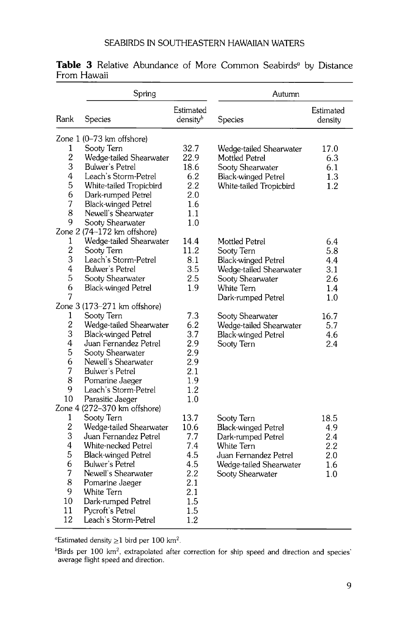|                     | Spring                                     |                                   | Autumn                         |                      |
|---------------------|--------------------------------------------|-----------------------------------|--------------------------------|----------------------|
| Rank                | Species                                    | Estimated<br>density <sup>b</sup> | Species                        | Estimated<br>density |
|                     | Zone $1(0-73 \text{ km}$ offshore)         |                                   |                                |                      |
| 1                   | Sooty Tern                                 | 32.7                              | Wedge-tailed Shearwater        | 17.0                 |
| $\overline{c}$      | Wedge-tailed Shearwater                    | 22.9                              | Mottled Petrel                 | 6.3                  |
| 3                   | Bulwer's Petrel                            | 18.6                              | Sooty Shearwater               | 6.1                  |
| 4                   | Leach's Storm-Petrel                       | 6.2                               | <b>Black-winged Petrel</b>     | 1.3                  |
| 5                   | White-tailed Tropicbird                    | 2.2                               | White-tailed Tropicbird        | 1.2                  |
| 6                   | Dark-rumped Petrel                         | 2.0                               |                                |                      |
| 7                   | <b>Black-winged Petrel</b>                 | 1.6                               |                                |                      |
| 8                   | Newell's Shearwater                        | 1.1                               |                                |                      |
| 9                   | Sooty Shearwater                           | 1.0                               |                                |                      |
|                     | Zone 2 (74-172 km offshore)                |                                   |                                |                      |
| 1                   | Wedge-tailed Shearwater                    | 14.4                              | <b>Mottled Petrel</b>          | 6.4                  |
| $\overline{c}$<br>3 | Sooty Tern                                 | 11.2                              | Sooty Tern                     | 5.8                  |
|                     | Leach's Storm-Petrel                       | 8.1                               | <b>Black-winged Petrel</b>     | 4.4                  |
| 4<br>5              | <b>Bulwer's Petrel</b><br>Sooty Shearwater | 3.5<br>2.5                        | Wedge-tailed Shearwater        | 3.1                  |
| 6                   | <b>Black-winged Petrel</b>                 | 1.9                               | Sooty Shearwater<br>White Tern | 2.6<br>1.4           |
| 7                   |                                            |                                   | Dark-rumped Petrel             | 1.0                  |
|                     | Zone 3 (173-271 km offshore)               |                                   |                                |                      |
| 1                   | Sooty Tern                                 | 7.3                               | Sooty Shearwater               | 16.7                 |
| $\overline{c}$      | Wedge-tailed Shearwater                    | 6.2                               | Wedge-tailed Shearwater        | 5.7                  |
| 3                   | <b>Black-winged Petrel</b>                 | 3.7                               | <b>Black-winged Petrel</b>     | 4.6                  |
| 4                   | Juan Fernandez Petrel                      | 2.9                               | Sooty Tern                     | 2.4                  |
| 5                   | Sooty Shearwater                           | 2.9                               |                                |                      |
| 6                   | Newell's Shearwater                        | 2.9                               |                                |                      |
| 7                   | Bulwer's Petrel                            | 2.1                               |                                |                      |
| 8                   | Pomarine Jaeger                            | 1.9                               |                                |                      |
| 9                   | Leach's Storm-Petrel                       | 1.2                               |                                |                      |
| 10                  | Parasitic Jaeger                           | 1.0                               |                                |                      |
|                     | Zone 4 (272-370 km offshore)               |                                   |                                |                      |
| 1                   | Sooty Tern                                 | 13.7                              | Sooty Tern                     | 18.5                 |
| $\overline{c}$      | Wedge-tailed Shearwater                    | 10.6                              | <b>Black-winged Petrel</b>     | 4.9                  |
| 3                   | Juan Fernandez Petrel                      | 7.7                               | Dark-rumped Petrel             | 2.4                  |
| 4                   | White-necked Petrel                        | 7.4                               | White Tern                     | 2.2                  |
| 5                   | <b>Black-winged Petrel</b>                 | 4.5                               | Juan Fernandez Petrel          | 2.0                  |
| 6<br>7              | Bulwer's Petrel                            | 4.5                               | Wedge-tailed Shearwater        | 1.6                  |
| 8                   | Newell's Shearwater                        | 2.2                               | Sooty Shearwater               | 1.0                  |
| 9                   | Pomarine Jaeger<br>White Tern              | 2.1<br>2.1                        |                                |                      |
| 10                  | Dark-rumped Petrel                         | 1.5                               |                                |                      |
| 11                  | Pycroft's Petrel                           | 1.5                               |                                |                      |
| 12                  | Leach's Storm-Petrel                       | 1.2                               |                                |                      |
|                     |                                            |                                   |                                |                      |

Table 3 Relative Abundance of More Common Seabirds<sup>a</sup> by Distance **From Hawaii** 

<sup>a</sup>Estimated density  $\geq$ 1 bird per 100 km<sup>2</sup>.

**bBirds per 100 km z, extrapolated after correction for ship speed and direction and species' average flight speed and direction.**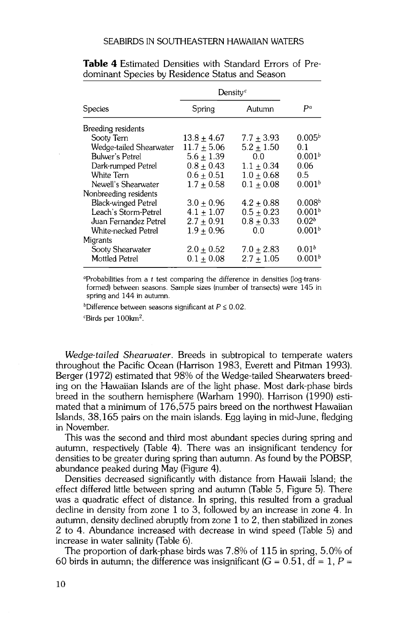|                            | Density <sup>c</sup> |              |                    |
|----------------------------|----------------------|--------------|--------------------|
| <b>Species</b>             | Spring               | Autumn       | Pа                 |
| Breeding residents         |                      |              |                    |
| Sooty Tern                 | $13.8 + 4.67$        | $7.7 + 3.93$ | 0.005 <sup>b</sup> |
| Wedge-tailed Shearwater    | $11.7 + 5.06$        | $5.2 + 1.50$ | 0.1                |
| <b>Bulwer's Petrel</b>     | $5.6 + 1.39$         | 0.0          | 0.001 <sup>b</sup> |
| Dark-rumped Petrel         | $0.8 + 0.43$         | $1.1 + 0.34$ | 0.06               |
| White Tern                 | $0.6 + 0.51$         | $1.0 + 0.68$ | 0.5                |
| Newell's Shearwater        | $1.7 + 0.58$         | $0.1 + 0.08$ | 0.001 <sup>b</sup> |
| Nonbreeding residents      |                      |              |                    |
| <b>Black-winged Petrel</b> | $3.0 + 0.96$         | $4.2 + 0.88$ | 0.008 <sup>b</sup> |
| Leach's Storm-Petrel       | $4.1 + 1.07$         | $0.5 + 0.23$ | 0.001 <sup>b</sup> |
| Juan Fernandez Petrel      | $2.7 + 0.91$         | $0.8 + 0.33$ | 0.02 <sup>b</sup>  |
| White-necked Petrel        | $1.9 + 0.96$         | 0.0          | 0.001 <sup>b</sup> |
| Migrants                   |                      |              |                    |
| Sooty Shearwater           | $2.0 + 0.52$         | $7.0 + 2.83$ | 0.01 <sup>b</sup>  |
| <b>Mottled Petrel</b>      | $0.1 + 0.08$         | $2.7 + 1.05$ | 0.001 <sup>b</sup> |

**Table 4 Estimated Densities with Standard Errors of Predominant Species by Residence Status and Season** 

**øProbabilities from a t test comparing the difference in densities (log-transformed) between seasons. Sample sizes (number of transects) were 145 in spring and 144 in autumn.** 

<sup>b</sup>Difference between seasons significant at  $P \leq 0.02$ .

*C*Birds per 100km<sup>2</sup>.

**Wedge-tailed Shearwater. Breeds in subtropical to temperate waters throughout the Pacific Ocean (Harrison 1983, Everett and Pitman 1993). Berger (1972) estimated that 98% of the Wedge-tailed Shearwaters breeding on the Hawaiian Islands are of the light phase. Most dark-phase birds breed in the southern hemisphere (Warham 1990). Harrison (1990) estimated that a minimum of 176,575 pairs breed on the northwest Hawaiian Islands, 38,165 pairs on the main islands. Egg laying in mid-June, fiedging in November.** 

**This was the second and third most abundant species during spring and autumn, respectively (Table 4). There was an insignificant tendency for densities to be greater during spring than autumn. As found by the POBSP, abundance peaked during May (Figure 4).** 

**Densities decreased significantly with distance from Hawaii Island; the effect differed little between spring and autumn (Table 5, Figure 5). There was a quadratic effect of distance. In spring, this resulted from a gradual decline in density from zone 1 to 3, followed by an increase in zone 4. In autumn, density declined abruptly from zone 1 to 2, then stabilized in zones 2 to 4. Abundance increased with decrease in wind speed (Table 5) and increase in water salinity (Table 6).** 

**The proportion of dark-phase birds was 7.8% of 115 in spring, 5.0% of**  60 birds in autumn; the difference was insignificant  $(G = 0.51, df = 1, P = 0.51)$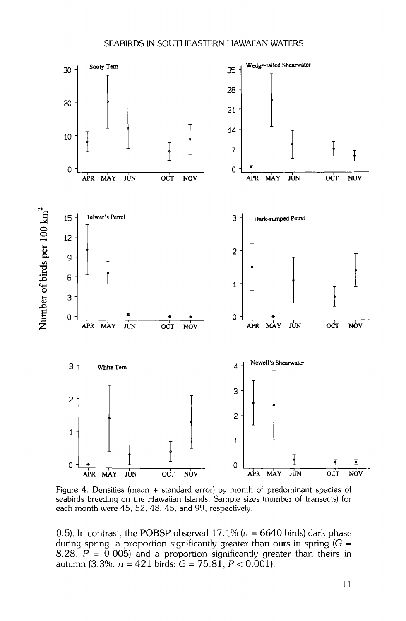

Figure 4. Densities (mean  $\pm$  standard error) by month of predominant species of **seabirds breeding on the Hawaiian Islands. Sample sizes (number of transects) for each month were 45, 52, 48, 45, and 99, respectively.** 

0.5). In contrast, the POBSP observed  $17.1\%$  ( $n = 6640$  birds) dark phase **during spring, a proportion significantly greater than ours in spring (G = 8.28, P = 0.005) and a proportion significantly greater than theirs in autumn (3.3%, n = 421 birds; G = 75.81, P < 0.001).**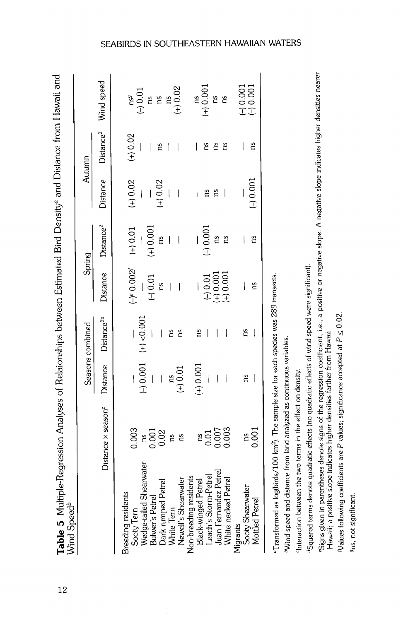| l<br>S                   |  |
|--------------------------|--|
| Í                        |  |
| $\overline{\phantom{a}}$ |  |
|                          |  |
|                          |  |
|                          |  |
| $\overline{\phantom{a}}$ |  |
| MARA                     |  |
| j                        |  |

|                                                                                                      |                                |                          | Seasons combined                                                      | Spring                                                                                                    |                                                                 |                          | Autumn     |                                                                |
|------------------------------------------------------------------------------------------------------|--------------------------------|--------------------------|-----------------------------------------------------------------------|-----------------------------------------------------------------------------------------------------------|-----------------------------------------------------------------|--------------------------|------------|----------------------------------------------------------------|
|                                                                                                      | Distance x season <sup>c</sup> |                          | Distance Distance <sup>2d</sup>                                       |                                                                                                           | Distance Distance <sup>2</sup>                                  |                          |            | Distance Distance <sup>2</sup> Wind speed                      |
| <b>Breeding residents</b>                                                                            |                                |                          |                                                                       |                                                                                                           |                                                                 |                          |            |                                                                |
| Sooty Tern                                                                                           | 0.003                          |                          | $(-)\ \begin{matrix} 0.001 \\ 0.001 \end{matrix}$ + $\frac{0.001}{2}$ | $(-)^e \frac{0.002^f}{-}$<br>$(-) \frac{0.01}{0.01}$                                                      | $(+) 0.01$                                                      | $(+) 0.02$               | $(+) 0.02$ | $(1)^{n^{g}}$<br>$(1)^{0.01}$<br>$(1)^{n^{g}}$<br>$(1)^{0.02}$ |
| Wedge-tailed Shearwate:                                                                              | ns                             |                          |                                                                       |                                                                                                           | $(+) 0.001$                                                     |                          |            |                                                                |
| Dark-rumped Petrel<br>Bulwer's Petrel                                                                | 0.001                          | $\overline{\phantom{a}}$ |                                                                       |                                                                                                           | ns                                                              | $+0.02$                  | 2          |                                                                |
| White Tern                                                                                           | ns                             |                          |                                                                       |                                                                                                           |                                                                 |                          |            |                                                                |
| Newell's Shearwater                                                                                  | ns                             | $\lim_{(+)0.01}$         | ns                                                                    | $\overline{\phantom{a}}$                                                                                  |                                                                 | $\overline{\mathbf{I}}$  |            |                                                                |
| Non-breeding residents                                                                               |                                |                          |                                                                       |                                                                                                           |                                                                 |                          |            |                                                                |
| <b>Black-winged Petrel</b>                                                                           | 2ú                             | $(+) 0.001$              | ns                                                                    |                                                                                                           |                                                                 | $\overline{\phantom{a}}$ | I          |                                                                |
| Leach's Storm-Petrel                                                                                 | 0.01                           |                          |                                                                       |                                                                                                           | $\begin{array}{c}\n\leftarrow \\ \leftarrow\n\end{array}$ 0.001 | ٤                        | m          | $\begin{array}{c}\n 1.6 \\  + 0.001\n \end{array}$             |
| Juan Fernandez Petrel                                                                                |                                |                          |                                                                       | $\begin{array}{c} -0.01 \\ \left(+\right)0.001 \\ \left(+\right)0.001 \\ \left(+\right)0.001 \end{array}$ |                                                                 | 2S                       | 2°         |                                                                |
| White-necked Petrel                                                                                  | 0.007                          |                          |                                                                       |                                                                                                           | ns                                                              |                          | Σņ         | ns                                                             |
| Migrants                                                                                             |                                |                          |                                                                       |                                                                                                           |                                                                 |                          |            | $(-) 0.001$                                                    |
| Sooty Shearwater                                                                                     |                                | ns                       | 2                                                                     |                                                                                                           |                                                                 |                          |            |                                                                |
| Mottled Petrel                                                                                       | 0.001                          |                          |                                                                       | 2                                                                                                         | ns                                                              | $(-) 0.001$              | ΩŚ,        | $-10.001$                                                      |
| «Transformed as log(birds/100 km <sup>2</sup> ). The sample size for each species was 289 transects. |                                |                          |                                                                       |                                                                                                           |                                                                 |                          |            |                                                                |

bWind speed and distance from land analyzed as continuous variables.

'Interaction between the two terms in the effect on density.

dSquared terms denote quadratic effects (no quadratic effects of wind speed were significant).

esigns given in parentheses denote signs of the regression coefficient, i.e., a positive or negative slope. A negative slope indicates higher densities nearer Cogno groce..... per controlled and controlled the fact farther from Hawaii.<br>Hawaii, a positive slope indicates higher densities farther from Hawaii.

Values following coefficients are P values; significance accepted at  $P \le 0.02$ .

9<sub>ns, not significant.</sub>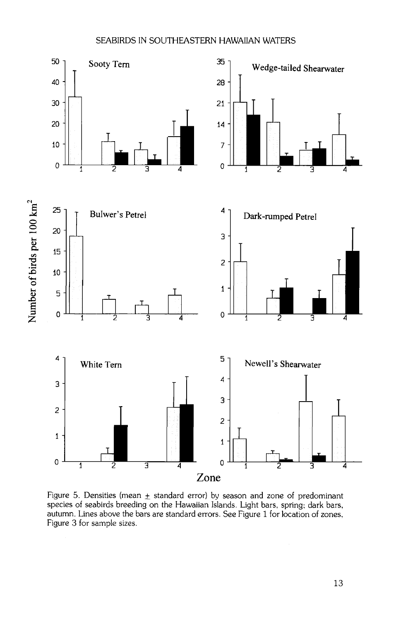

Figure 5. Densities (mean  $\pm$  standard error) by season and zone of predominant **species of seabirds breeding on the Hawaiian Islands. Light bars, spring; dark bars, autumn. Lines above the bars are standard errors. See Figure 1 for location of zones, Figure 3 for sample sizes.** 

**13**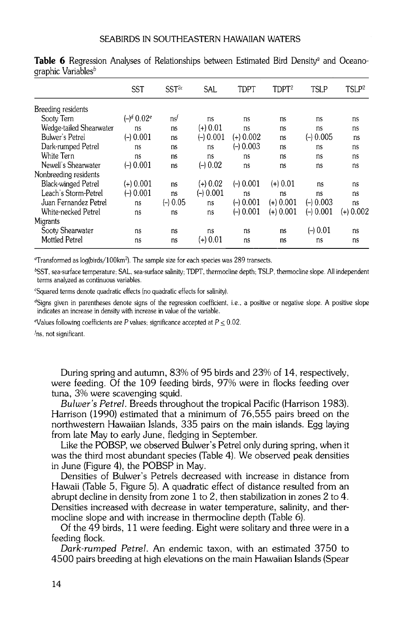|                            | <b>SST</b>     | SST <sup>2c</sup> | SAL         | TDPT        | $T\mathrm{D}PT^2$ | <b>TSLP</b> | TSLP <sup>2</sup> |
|----------------------------|----------------|-------------------|-------------|-------------|-------------------|-------------|-------------------|
| Breeding residents         |                |                   |             |             |                   |             |                   |
| Sooty Tern                 | $(-)^d 0.02^e$ | ns <sup>t</sup>   | ns          | ns          | ns                | ns          | ns                |
| Wedge-tailed Shearwater    | ns             | ns                | $(+) 0.01$  | ns          | ns                | ns          | ns                |
| Bulwer's Petrel            | $(-) 0.001$    | ns                | $(-) 0.001$ | $(+)$ 0.002 | ns                | $(-) 0.005$ | ns                |
| Dark-rumped Petrel         | ns             | ns                | ns          | $(-) 0.003$ | ns                | ns          | ns                |
| White Tern                 | ns             | ns                | ns          | ns          | ns                | ns          | ns                |
| Newell's Shearwater        | $(-) 0.001$    | ns                | $(-10.02)$  | ns          | ns                | ns          | ns                |
| Nonbreeding residents      |                |                   |             |             |                   |             |                   |
| <b>Black-winged Petrel</b> | (+) 0.001      | ns                | $(+) 0.02$  | $(-) 0.001$ | (+) 0.01          | ns          | ns                |
| Leach's Storm-Petrel       | $(-) 0.001$    | ns                | $(-) 0.001$ | ns          | ns                | ns          | ns                |
| Juan Fernandez Petrel      | ns             | $(-) 0.05$        | ns          | $(-) 0.001$ | $(+) 0.001$       | $(-) 0.003$ | ns                |
| White-necked Petrel        | ns             | ns                | ns          | $(-10.001$  | $(+)$ 0.001       | $(-) 0.001$ | $(+)$ 0.002       |
| Migrants                   |                |                   |             |             |                   |             |                   |
| Sooty Shearwater           | ns             | ns                | ns          | ns          | ns                | $(-10.01)$  | ns                |
| <b>Mottled Petrel</b>      | ns             | ns                | (+) 0.01    | ns          | ns                | ns          | ns                |

**Table 6** Regression Analyses of Relationships between Estimated Bird Density<sup>a</sup> and Oceanographic Variables<sup>b</sup>

**øTransformed as 1og(birds/100km2). The sample size for each species was 289 transects.** 

**bSST, sea-surface temperature: SAL, sea-surface salinity; TDPT, thermocline depth; TSLP, thermocline slope. All independent terms analyzed as continuous variables.** 

**CSquared terms denote quadratic effects (no quadratic effects for salinity).** 

<sup>d</sup>Signs given in parentheses denote signs of the regression coefficient, i.e., a positive or negative slope. A positive slope indicates an increase in density with increase in value of the variable.

<sup>e</sup>Values following coefficients are P values; significance accepted at  $P \le 0.02$ .

**fns, not significant.** 

**During spring and autumn, 83% of 95 birds and 23% of 14, respectively, were feeding. Of the 109 feeding birds, 97% were in flocks feeding over tuna, 3% were scavenging squid.** 

**Bulwer's Petrel. Breeds throughout the tropical Pacific (Harrison 1983). Harrison (1990) estimated that a minimum of 76,555 pairs breed on the northwestern Hawaiian Islands, 335 pairs on the main islands. Egg laying from late May to early June, fiedging in September.** 

**Like the POBSP, we observed Bulwer's Petrel only during spring, when it was the third most abundant species (Table 4). We observed peak densities in June (Figure 4), the POBSP in May.** 

**Densities of Bulwer's Petrels decreased with increase in distance from Hawaii (Table 5, Figure 5). A quadratic effect of distance resulted from an abrupt decline in density from zone 1 to 2, then stabilization in zones 2 to 4. Densities increased with decrease in water temperature, salinity, and thermocline slope and with increase in thermocline depth (Table 6).** 

**Of the 49 birds, 11 were feeding. Eight were solitary and three were in a feeding flock.** 

**Dark-rumped Petrel. An endemic taxon, with an estimated 3750 to 4500 pairs breeding at high elevations on the main Hawaiian Islands (Spear**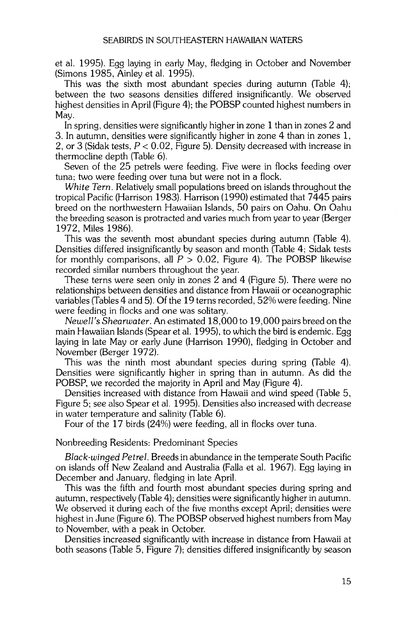**et al. 1995). Egg laying in early May, fledging in October and November (Simons 1985, Ainley et al. 1995).** 

**This was the sixth most abundant species during autumn (Table 4); between the two seasons densities differed insignificantly. We observed highest densities in April (Figure 4); the POBSP counted highest numbers in May.** 

**In spring, densities were significantly higher in zone 1 than in zones 2 and 3. In autumn, densities were significantly higher in zone 4 than in zones 1, 2, or 3 (Sidak tests, P < 0.02, Figure 5). Density decreased with increase in thermocline depth (Table 6).** 

**Seven of the 25 petrels were feeding. Five were in flocks feeding over tuna; two were feeding over tuna but were not in a flock.** 

**White Tern. Relatively small populations breed on islands throughout the tropical Pacific (Harrison 1983). Harrison (1990) estimated that 7445 pairs breed on the northwestern Hawaiian Islands, 50 pairs on Oahu. On Oahu the breeding season is protracted and varies much from year to year (Berger 1972, Miles 1986).** 

**This was the seventh most abundant species during autumn (Table 4). Densities differed insignificantly by season and month (Table 4; Sidak tests for monthly comparisons, all P > 0.02, Figure 4). The POBSP likewise recorded similar numbers throughout the year.** 

**These terns were seen only in zones 2 and 4 (Figure 5). There were no relationships between densities and distance from Hawaii or oceanographic variables (Tables 4 and 5). Of the 19 terns recorded, 52% were feeding. Nine were feeding in flocks and one was solitary.** 

**Newell's Shearwater. An estimated 18,000 to 19,000 pairs breed on the main Hawaiian Islands (Spear et al. 1995), to which the bird is endemic. Egg laying in late May or early June (Harrison 1990), fledging in October and November (Berger 1972).** 

**This was the ninth most abundant species during spring (Table 4). Densities were significantly higher in spring than in autumn. As did the POBSP, we recorded the majority in April and May (Figure 4).** 

**Densities increased with distance from Hawaii and wind speed (Table 5, Figure 5; see also Spear et al. 1995). Densities also increased with decrease in water temperature and salinity (Table 6).** 

**Four of the 17 birds (24%) were feeding, all in flocks over tuna.** 

#### **Nonbreeding Residents: Predominant Species**

**Black-winged Petrel. Breeds in abundance in the temperate South Pacific on islands off New Zealand and Australia (Falla et al. 1967). Egg laying in December and January, fledging in late April.** 

**This was the fifth and fourth most abundant species during spring and autumn, respectively (Table 4); densities were significantly higher in autumn. We observed it during each of the five months except April; densities were highest in June (Figure 6). The POBSP observed highest numbers from May to November, with a peak in October.** 

**Densities increased significantly with increase in distance from Hawaii at both seasons (Table 5, Figure 7); densities differed insignificantly by season**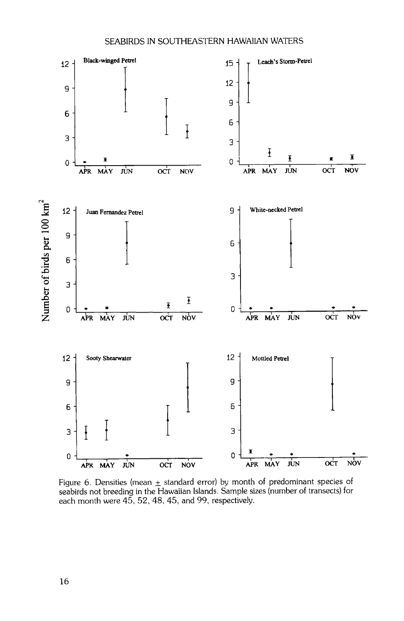

Figure 6. Densities (mean  $\pm$  standard error) by month of predominant species of **seabirds not breeding in the Hawaiian Islands. Sample sizes (number of transects) for each month were 45, 52, 48, 45, and 99, respectively.**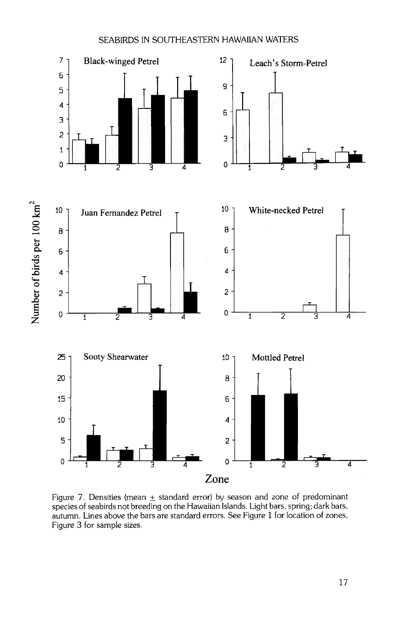

Figure 7. Densities (mean  $\pm$  standard error) by season and zone of predominant **species of seabirds not breeding on the Hawaiian Islands. Light bars, spring; dark bars, autumn. Lines above the bars are standard errors. See Figure 1 for location of zones, Figure 3 for sample sizes.**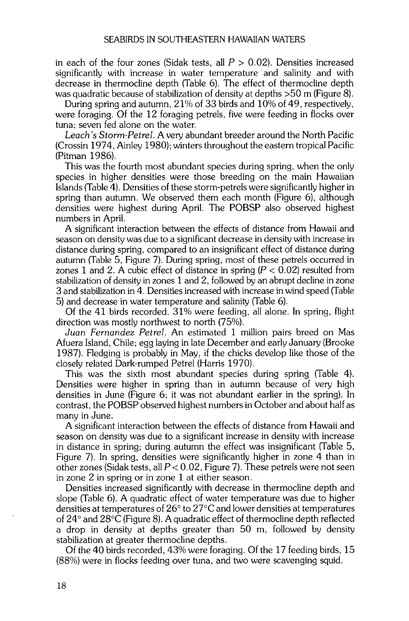**in each of the four zones (Sidak tests, all P > 0.02). Densities increased significantly with increase in water temperature and salinity and with decrease in thermocline depth (Table 6). The effect of thermocline depth was quadratic because of stabilization of density at depths >50 m (Figure 8).** 

**During spring and autumn, 21% of 33 birds and 10% of 49, respectively, were foraging. Of the 12 foraging petrels, five were feeding in flocks over tuna; seven fed alone on the water.** 

**Leach's Storm-Petrel. A very abundant breeder around the North Pacific (Crossin 1974, Ainley 1980); winters throughout the eastern tropical Pacific (Pitman 1986).** 

**This was the fourth most abundant species during spring, when the only species in higher densities were those breeding on the main Hawaiian Islands (Table 4). Densities of these storm-petrels were significantly higher in spring than autumn. We observed them each month (Figure 6), although densities were highest during April. The POBSP also observed highest numbers in April.** 

**A significant interaction between the effects of distance from Hawaii and season on density was due to a significant decrease in density with increase in distance during spring, compared to an insignificant effect of distance during autumn (Table 5, Figure 7). During spring, most of these petrels occurred in**  zones 1 and 2. A cubic effect of distance in spring  $(P < 0.02)$  resulted from **stabilization of density in zones 1 and 2, followed by an abrupt decline in zone 3 and stabilization in 4. Densities increased with increase in wind speed (Table 5) and decrease in water temperature and salinity (Table 6).** 

**Of the 41 birds recorded, 31% were feeding, all alone. In spring, flight direction was mostly northwest to north (75%).** 

**Juan Fernandez Petrel. An estimated 1 million pairs breed on Mas Afuera Island, Chile; egg laying in late December and early January (Brooke 1987). Fledging is probably in May, if the chicks develop like those of the closely related Dark-rumped Petrel (Harris 1970).** 

**This was the sixth most abundant species during spring (Table 4). Densities were higher in spring than in autumn because of very high densities in June (Figure 6; it was not abundant earlier in the spring). In contrast, the POBSP observed highest numbers in October and about half as many in June.** 

**A significant interaction between the effects of distance from Hawaii and season on density was due to a significant increase in density with increase in distance in spring; during autumn the effect was insignificant (Table 5, Figure 7). In spring, densities were significantly higher in zone 4 than in other zones (Sidak tests, all P < 0.02, Figure 7). These petrels were not seen in zone 2 in spring or in zone 1 at either season.** 

**Densities increased significantly with decrease in thermocline depth and slope (Table 6). A quadratic effect of water temperature was due to higher densities at temperatures of 26 ø to 27øC and lower densities at temperatures of 24 ø and 28øC (Figure 8). A quadratic effect of thermocline depth reflected a drop in density at depths greater than 50 m, followed by density stabilization at greater thermocline depths.** 

**Of the 40 birds recorded, 43% were foraging. Of the 17 feeding birds, 15 (88%) were in flocks feeding over tuna, and two were scavenging squid.**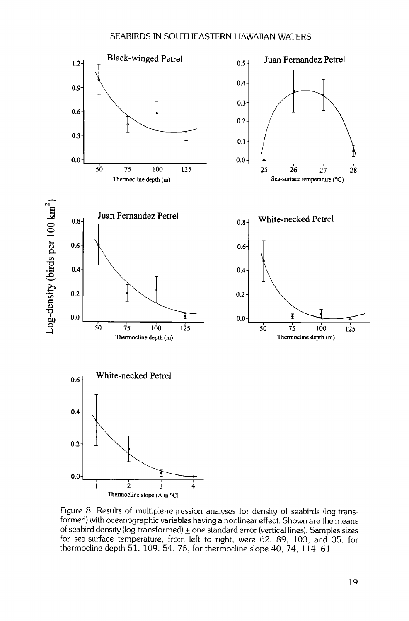

Figure 8. Results of multiple-regression analyses for density of seabirds (log-trans**formed) with oceanographic variables having a nonlinear effect. Shown are the means**  of seabird density (log-transformed)  $\pm$  one standard error (vertical lines). Samples sizes **for sea-surface temperature, from left to right, were 62, 89, 103, and 35, for thermocline depth 51, 109, 54. 75, for thermocline slope 40, 74, 114, 61.**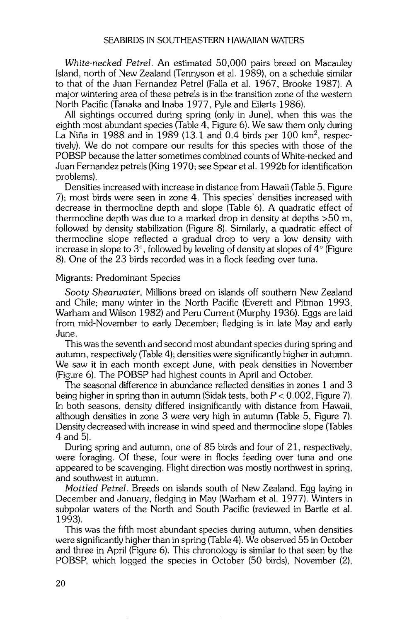**White-necked Petrel. An estimated 50,000 pairs breed on Macauley Island, north of New Zealand (Tennyson et al. 1989), on a schedule similar to that of the Juan Fernandez Petrel (Falla et al. 1967, Brooke 1987). A major wintering area of these petrels is in the transition zone of the western North Pacific (Tanaka and Inaba 1977, Pyle and Eilerts 1986).** 

**All sightings occurred during spring (only in June), when this was the eighth most abundant species (Table 4, Figure 6). We saw them only during**  La Niña in 1988 and in 1989 (13.1 and 0.4 birds per 100 km<sup>2</sup>, respec**tively). We do not compare our results for this species with those of the POBSP because the latter sometimes combined counts of White-necked and Juan Fernandez petrels (King 1970; see Spear et al. 1992b for identification problems).** 

**Densities increased with increase in distance from Hawaii (Table 5, Figure 7); most birds were seen in zone 4. This species' densities increased with decrease in thermocline depth and slope (Table 6). A quadratic effect of thermocline depth was due to a marked drop in density at depths >50 m, followed by density stabilization (Figure 8). Similarly, a quadratic effect of thermocline slope reflected a gradual drop to very a low density with**  increase in slope to 3°, followed by leveling of density at slopes of 4° (Figure **8). One of the 23 birds recorded was in a flock feeding over tuna.** 

#### **Migrants: Predominant Species**

**Sooty Shearwater. Millions breed on islands off southern New Zealand and Chile; many winter in the North Pacific (Everett and Pitman 1993, Warham and Wilson 1982) and Peru Current (Murphy 1936). Eggs are laid from mid-November to early December; fledging is in late May and early June.** 

**This was the seventh and second most abundant species during spring and autumn, respectively (Table 4); densities were significantly higher in autumn. We saw it in each month except June, with peak densities in November (Figure 6). The POBSP had highest counts in April and October.** 

**The seasonal difference in abundance reflected densities in zones 1 and 3 being higher in spring than in autumn (Sidak tests, both P < 0.002, Figure 7). In both seasons, density differed insignificantly with distance from Hawaii, although densities in zone 3 were very high in autumn (Table 5, Figure 7). Density decreased with increase in wind speed and thermocline slope (Tables 4 and 5).** 

**During spring and autumn, one of 85 birds and four of 21, respectively, were foraging. Of these, four were in flocks feeding over tuna and one appeared to be scavenging. Flight direction was mostly northwest in spring, and southwest in autumn.** 

**Mottled Petrel. Breeds on islands south of New Zealand. Egg laying in December and January, fiedging in May (Warham et al. 1977). Winters in subpolar waters of the North and South Pacific (reviewed in Bartle et al. 1993).** 

**This was the fifth most abundant species during autumn, when densities were significantly higher than in spring (Table 4). We observed 55 in October and three in April (Figure 6). This chronology is similar to that seen by the POBSP, which logged the species in October (50 birds), November (2),**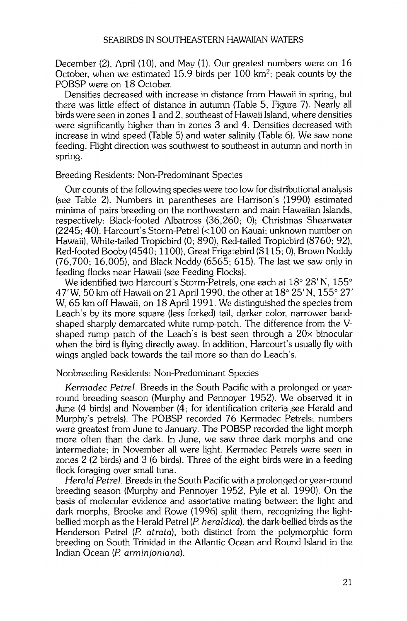**December (2), April (10), and May (1). Our greatest numbers were on 16 October, when we estimated 15.9 birds per 100 km2; peak counts by the POBSP were on 18 October.** 

**Densities decreased with increase in distance from Hawaii in spring, but there was little effect of distance in autumn (Table 5, Figure 7). Nearly all birds were seen in zones 1 and 2, southeast of Hawaii Island, where densities were significantly higher than in zones 3 and 4. Densities decreased with increase in wind speed (Table 5) and water salinity (Table 6). We saw none feeding. Flight direction was southwest to southeast in autumn and north in spring.** 

## **Breeding Residents: Non-Predominant Species**

Our counts of the following species were too low for distributional analysis **(see Table 2). Numbers in parentheses are Harrison's (1990) estimated minima of pairs breeding on the northwestern and main Hawaiian Islands, respectively: Black-looted Albatross (36,260; 0); Christmas Shearwater (2245; 40), Harcourt's Storm-Petrel (<100 on Kauai; unknown number on Hawaii), White-tailed Tropicbird (0; 890), Red-tailed Tropicbird (8760; 92), Red-looted Booby (4540; 1100), Great Frigatebird (8115; 0), Brown Noddy (76,700; 16,005), and Black Noddy (6565; 615). The last we saw only in feeding flocks near Hawaii (see Feeding Flocks).** 

We identified two Harcourt's Storm-Petrels, one each at 18° 28' N, 155° 47' W, 50 km off Hawaii on 21 April 1990, the other at 18<sup>°</sup> 25' N, 155<sup>°</sup> 27' **W, 65 km off Hawaii, on 18 April 1991. We distinguished the species from Leach's by its more square (less forked) tail, darker color, narrower bandshaped sharply demarcated white rump-patch. The difference from the Vshaped rump patch of the Leach's is best seen through a 20x binocular when the bird is flying directly away. In addition, Harcourt's usually fly with wings angled back towards the tail more so than do Leach's.** 

### **Nonbreeding Residents: Non-Predominant Species**

**Kermadec Petrel. Breeds in the South Pacific with a prolonged or yearround breeding season (Murphy and Pennoyer 1952). We observed it in June (4 birds) and November (4; for identification criteria see Herald and Murphy's petrels). The POBSP recorded 76 Kermadec Petrels; numbers were greatest from June to January. The POBSP recorded the light morph more often than the dark. In June, we saw three dark morphs and one intermediate; in November all were light. Kermadec Petrels were seen in zones 2 (2 birds) and 3 (6 birds). Three of the eight birds were in a feeding flock foraging over small tuna.** 

**Herald Petrel. Breeds in the South Pacific with a prolonged or year-round breeding season (Murphy and Pennoyer 1952, Pyle et al. 1990). On the basis of molecular evidence and assortative mating between the light and dark morphs, Brooke and Rowe (1996) split them, recognizing the lightbellled morph as the Herald Petrel (P. heraldica), the dark-bellied birds as the Henderson Petrel (P. atrata), both distinct from the polymorphic form breeding on South Trinidad in the Atlantic Ocean and Round Island in the Indian Ocean (P. arrainjoniana).**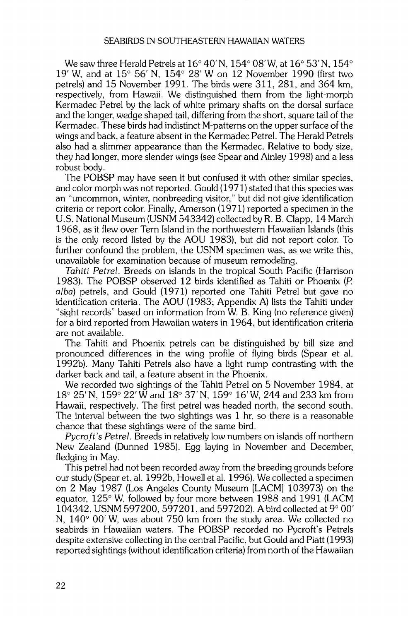We saw three Herald Petrels at 16<sup>°</sup> 40' N, 154<sup>°</sup> 08' W, at 16<sup>°</sup> 53' N, 154<sup>°</sup> **19 • W, and at 15 ø 56' N, 154 ø 28•W on 12 November 1990 (first two petrels) and 15 November 1991. The birds were 311,281, and 364 km, respectively, from Hawaii. We distinguished them from the light-morph Kermadec Petrel by the lack of white primary shafts on the dorsal surface and the longer, wedge shaped tail, differing from the short, square tail of the Kermadec. These birds had indistinct M-patterns on the upper surface of the wings and back, a feature absent in the Kermadec Petrel. The Herald Petrels also had a slimmer appearance than the Kermadec. Relative to body size, they had longer, more slender wings (see Spear and Ainley 1998) and a less robust body.** 

**The POBSP may have seen it but confused it with other similar species, and color morph was not reported. Gould (1971) stated that this species was an "uncommon, winter, nonbreeding visitor," but did not give identification criteria or report color. Finally, Amerson (1971) reported a specimen in the U.S. National Museum (USNM 543342) collected by R. B. Clapp, 14 March 1968, as it flew over Tern Island in the northwestern Hawaiian Islands (this is the only record listed by the AOU 1983), but did not report color. To further confound the problem, the USNM specimen was, as we write this, unavailable for examination because of museum remodeling.** 

**Tahiti Petrel. Breeds on islands in the tropical South Pacific (Harrison 1983). The POBSP observed 12 birds identified as Tahiti or Phoenix (P. alba) petrels, and Gould (1971) reported one Tahiti Petrel but gave no identification criteria. The AOU (1983; Appendix A) lists the Tahiti under "sight records" based on information from W. B. King (no reference given) for a bird reported from Hawaiian waters in 1964, but identification criteria are not available.** 

**The Tahiti and Phoenix petrels can be distinguished by bill size and pronounced differences in the wing profile of flying birds (Spear et al. 1992b). Many Tahiti Petrels also have a light rump contrasting with the darker back and tail, a feature absent in the Phoenix.** 

**We recorded two sightings of the Tahiti Petrel on 5 November 1984, at 18 ø 25' N, 159 ø 22' W and 18 ø 37' N, 159 ø 16 • W, 244 and 233 km from Hawaii, respectively. The first petrel was headed north, the second south. The interval between the two sightings was 1 hr, so there is a reasonable chance that these sightings were of the same bird.** 

**Pycroft's Petrel. Breeds in relatively low numbers on islands off northern New Zealand (Dunned 1985). Egg laying in November and December, fiedging in May.** 

**This petrel had not been recorded away from the breeding grounds before our study (Spear et. al. 1992b, Howell et al. 1996). We collected a specimen on 2 May 1987 (Los Angeles County Museum [LACM] 103973) on the equator, 125 ø W, followed by four more between 1988 and 1991 (LACM**  104342, USNM 597200, 597201, and 597202). A bird collected at 9° 00' N, 140<sup>°</sup> 00' W, was about 750 km from the study area. We collected no **seabirds in Hawaiian waters. The POBSP recorded no Pycroft's Petrels despite extensive collecting in the central Pacific, but Gould and Piatt (1993) reported sightings (without identification criteria) from north of the Hawaiian**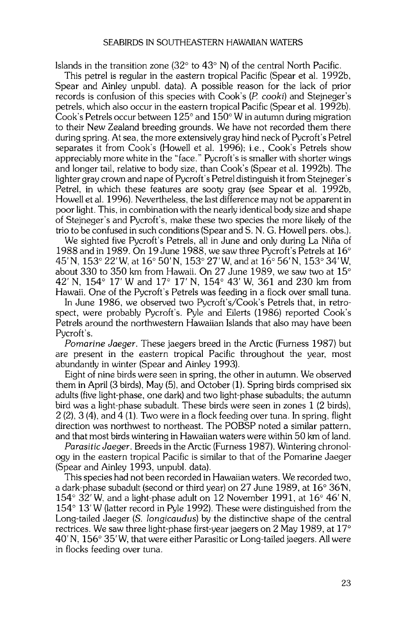**Islands in the transition zone (32** $^{\circ}$  **to 43** $^{\circ}$  **N) of the central North Pacific.** 

**This petrel is regular in the eastern tropical Pacific (Spear et al. 1992b, Spear and Ainley unpubl. data). A possible reason for the lack of prior**  records is confusion of this species with Cook's (P. cooki) and Stejneger's **petrels, which also occur in the eastern tropical Pacific (Spear et al. 1992b).**  Cook's Petrels occur between 125<sup>°</sup> and 150<sup>°</sup> W in autumn during migration **to their New Zealand breeding grounds. We have not recorded them there during spring. At sea, the more extensively gray hind neck of Pycroft's Petrel separates it from Cook's (Howell et al. 1996); i.e., Cook's Petrels show appreciably more white in the "face." Pycroft's is smaller with shorter wings and longer tail, relative to body size, than Cook's (Spear et al. 1992b). The lighter gray crown and nape of Pycroft's Petrel distinguish it from Stejneger's Petrel, in which these features are sooty gray (see Spear et al. 1992b, Howell et al. 1996). Nevertheless, the last difference may not be apparent in poor light. This, in combination with the nearly identical body size and shape of Stejneger's and Pycroft's, make these two species the more likely of the trio to be confused in such conditions (Spear and S. N. G. Howell pers. obs.).** 

**We sighted five Pycroft's Petrels, all in June and only during La Nifia of 1988 and in 1989. On 19 June 1988, we saw three Pycroft's Petrels at 16 ø**  45' N, 153° 22' W, at 16° 50' N, 153° 27' W, and at 16° 56' N, 153° 34' W, **about 330 to 350 km from Hawaii. On 27 June 1989, we saw two at 15 ø**  42' N, 154° 17' W and 17° 17' N, 154° 43' W, 361 and 230 km from **Hawaii. One of the Pycroft's Petrels was feeding in a flock over small tuna.** 

**In June 1986, we observed two Pycroft's/Cook's Petrels that, in retrospect, were probably Pycroft's. Pyle and Eilerts (1986) reported Cook's Petrels around the northwestern Hawaiian Islands that also may have been Pycroft's.** 

**Pomafine Jaeger. These jaegers breed in the Arctic (Furness 1987) but are present in the eastern tropical Pacific throughout the year, most abundantly in winter (Spear and Ainley 1993).** 

**Eight of nine birds were seen in spring, the other in autumn. We observed them in April (3 birds), May (5), and October (1). Spring birds comprised six adults (five light-phase, one dark) and two light-phase subadults; the autumn bird was a light-phase subadult. These birds were seen in zones 1 (2 birds), 2 (2), 3 (4), and 4 (1). Two were in a flock feeding over tuna. In spring, flight direction was northwest to northeast. The POBSP noted a similar pattern, and that most birds wintering in Hawaiian waters were within 50 km of land.** 

**Parasitic Jaeger. Breeds in the Arctic (Furness 1987). Wintering chronology in the eastern tropical Pacific is similar to that of the Pomarine Jaeger (Spear and Ainley 1993, unpubl. data).** 

**This species had not been recorded in Hawaiian waters. We recorded two,**  a dark-phase subadult (second or third year) on 27 June 1989, at 16° 36<sup>n</sup>,  $154^{\circ}$  32' W, and a light-phase adult on 12 November 1991, at  $16^{\circ}$  46' N, **154 ø 13'W (latter record in Pyle 1992). These were distinguished from the Long-tailed Jaeger (S. Iongicaudus) by the distinctive shape of the central**  rectrices. We saw three light-phase first-year jaegers on 2 May 1989, at 17<sup>o</sup> **40' N, 156 ø 35'W, that were either Parasitic or Long-tailed jaegers. All were in flocks feeding over tuna.**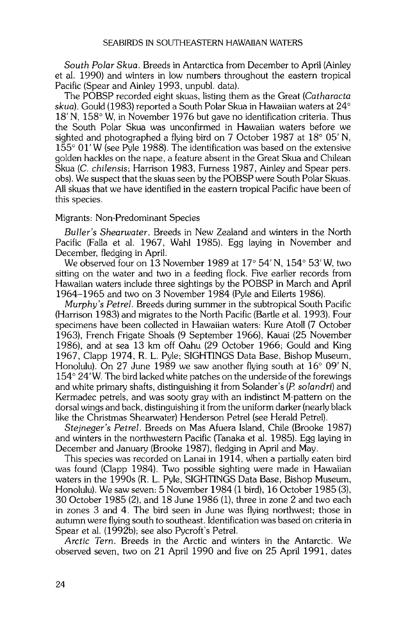**South Polar Skua. Breeds in Antarctica from December to April (Ainley et al. 1990) and winters in low numbers throughout the eastern tropical Pacific (Spear and Ainley 1993, unpubl. data).** 

**The POBSP recorded eight skuas, listing them as the Great (Catharacta**  skua). Gould (1983) reported a South Polar Skua in Hawaiian waters at 24<sup>°</sup> **18' N, 158 ø W, in November 1976 but gave no identification criteria. Thus the South Polar Skua was unconfirmed in Hawaiian waters before we**  sighted and photographed a flying bird on 7 October 1987 at 18<sup>°</sup> 05' N, **155 ø 01'W (see Pyle 1988). The identification was based on the extensive golden hackles on the nape, a feature absent in the Great Skua and Chilean Skua (C. chilensis; Harrison 1983, Furness 1987, Ainley and Spear pers. obs). We suspect that the skuas seen by the POBSP were South Polar Skuas. All skuas that we have identified in the eastern tropical Pacific have been of this species.** 

### **Migrants: Non-Predominant Species**

**Buller's Shearwater. Breeds in New Zealand and winters in the North Pacific (Falla et al. 1967, Wahl 1985). Egg laying in November and December, fledging in April.** 

We observed four on 13 November 1989 at 17° 54' N, 154° 53' W, two **sitting on the water and two in a feeding flock. Five earlier records from Hawaiian waters include three sightings by the POBSP in March and April 1964-1965 and two on 3 November 1984 (Pyle and Eilerts 1986).** 

**Murphy's Petrel. Breeds during summer in the subtropical South Pacific (Harrison 1983) and migrates to the North Pacific (Bartle et al. 1993). Four specimens have been collected in Hawaiian waters: Kure Atoll (7 October 1963), French Frigate Shoals (9 September 1966), Kauai (25 November 1986), and at sea 13 km off Oahu (29 October 1966; Gould and King 1967, Clapp 1974, R. L. Pyle; SIGHTINGS Data Base, Bishop Museum,**  Honolulu). On 27 June 1989 we saw another flying south at 16<sup>°</sup> 09' N, **154 ø 24 • W. The bird lacked white patches on the underside of the forewings and white primary shafts, distinguishing it from Solander's (P. solandri) and Kermadec petrels, and was sooty gray with an indistinct M-pattern on the dorsal wings and back, distinguishing it from the uniform darker (nearly black like the Christmas Shearwater) Henderson Petrel (see Herald Petrel).** 

**Stejneger's Petrel. Breeds on Mas Afuera Island, Chile (Brooke 1987) and winters in the northwestern Pacific (Tanaka et al. 1985). Egg laying in December and January (Brooke 1987), fledging in April and May.** 

This species was recorded on Lanai in 1914, when a partially eaten bird **was found (Clapp 1984). Two possible sighting were made in Hawaiian waters in the 1990s (R. L. Pyle, SIGHTINGS Data Base, Bishop Museum, Honolulu). We saw seven: 5 November 1984 (1 bird), 16 October 1985 (3), 30 October 1985 (2), and 18 June 1986 (1), three in zone 2 and two each in zones 3 and 4. The bird seen in June was flying northwest; those in autumn were flying south to southeast. Identification was based on criteria in Spear et al. (1992b); see also Pycroft's Petrel.** 

**Arctic Tern. Breeds in the Arctic and winters in the Antarctic. We observed seven, two on 21 April 1990 and five on 25 April 1991, dates**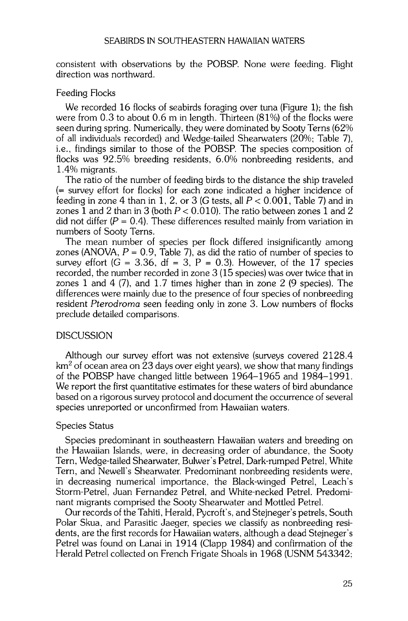**consistent with observations by the POBSP. None were feeding. Flight direction was northward.** 

## **Feeding Flocks**

**We recorded 16 flocks of seabirds foraging over tuna (Figure 1); the fish were from 0.3 to about 0.6 m in length. Thirteen (81%) of the flocks were seen during spring. Numerically, they were dominated by Sooty Terns (62% of all individuals recorded) and Wedge-tailed Shearwaters (20%• Table 7), i.e., findings similar to those of the POBSP. The species composition of flocks was 92.5% breeding residents, 6.0% nonbreeding residents, and 1.4% migrants.** 

**The ratio of the number of feeding birds to the distance the ship traveled (-- survey effort for flocks) for each zone indicated a higher incidence of**  feeding in zone 4 than in 1, 2, or 3 (G tests, all  $P < 0.001$ , Table 7) and in **zones 1 and 2 than in 3 (both P < 0.010). The ratio between zones 1 and 2**  did not differ  $(P = 0.4)$ . These differences resulted mainly from variation in **numbers of Sooty Terns.** 

**The mean number of species per flock differed insignificantly among**  zones (ANOVA,  $P = 0.9$ , Table 7), as did the ratio of number of species to survey effort  $(G = 3.36, df = 3, P = 0.3)$ . However, of the 17 species recorded, the number recorded in zone 3 (15 species) was over twice that in **zones 1 and 4 (7), and 1.7 times higher than in zone 2 (9 species). The differences were mainly due to the presence of four species of nonbreeding resident Pterodroma seen feeding only in zone 3. Low numbers of flocks preclude detailed comparisons.** 

## **DISCUSSION**

**Although our survey effort was not extensive (surveys covered 2128.4 km 2 of ocean area on 23 days over eight years), we show that many findings of the POBSP have changed little between 1964-1965 and 1984-1991. We report the first quantitative estimates for these waters of bird abundance**  based on a rigorous survey protocol and document the occurrence of several **species unreported or unconfirmed from Hawaiian waters.** 

## **Species Status**

**Species predominant in southeastern Hawaiian waters and breeding on the Hawaiian Islands, were, in decreasing order of abundance, the Sooty Tern, Wedge-tailed Shearwater, Bulwer's Petrel, Dark-rumped Petrel, White Tern, and Newell's Shearwater. Predominant nonbreeding residents were, in decreasing numerical importance, the Black-winged Petrel, Leach's Storm-Petrel, Juan Fernandez Petrel, and White-necked Petrel. Predominant migrants comprised the Sooty Shearwater and Mottled Petrel.** 

**Our records of the Tahiti, Herald, Pycroft's, and Stejneger's petrels, South Polar Skua, and Parasitic Jaeger, species we classify as nonbreeding residents, are the first records for Hawaiian waters, although a dead Stejneger's Petrel was found on Lanai in 1914 (Clapp 1984) and confirmation of the Herald Petrel collected on French Frigate Shoals in 1968 (USNM 543342;**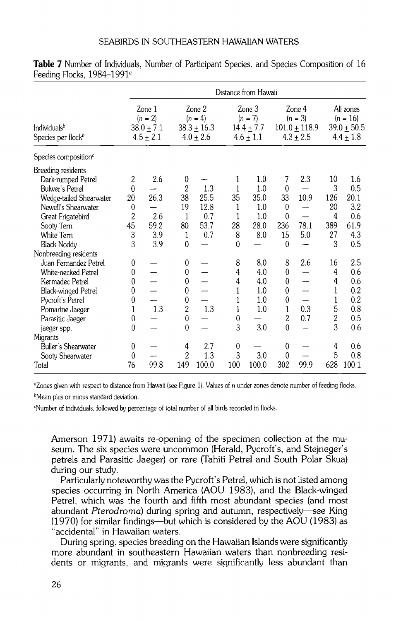|                                                                                                                                                                                                                                                                                                                                                                                          | Distance from Hawaii                                                                                                                         |                                                      |                                                                                                                                                                                                               |                                                         |                                                                                       |                                                                                                  |                                                                                                                                              |                                                         |                                                                                                                |                                                                                                                |
|------------------------------------------------------------------------------------------------------------------------------------------------------------------------------------------------------------------------------------------------------------------------------------------------------------------------------------------------------------------------------------------|----------------------------------------------------------------------------------------------------------------------------------------------|------------------------------------------------------|---------------------------------------------------------------------------------------------------------------------------------------------------------------------------------------------------------------|---------------------------------------------------------|---------------------------------------------------------------------------------------|--------------------------------------------------------------------------------------------------|----------------------------------------------------------------------------------------------------------------------------------------------|---------------------------------------------------------|----------------------------------------------------------------------------------------------------------------|----------------------------------------------------------------------------------------------------------------|
| Individuals <sup>b</sup><br>Species per flock <sup>b</sup>                                                                                                                                                                                                                                                                                                                               |                                                                                                                                              | Zone 1<br>$(n = 2)$<br>$38.0 \pm 7.1$<br>$4.5 + 2.1$ |                                                                                                                                                                                                               | Zone 2<br>$(n = 4)$<br>$38.3 \pm 16.3$<br>$4.0 \pm 2.6$ |                                                                                       | Zone 3<br>$(n = 7)$<br>$14.4 \pm 7.7$<br>$4.6 \pm 1.1$                                           |                                                                                                                                              | Zone 4<br>$(n = 3)$<br>$101.0 \pm 118.9$<br>$4.3 + 2.5$ |                                                                                                                | All zones<br>$(n = 16)$<br>$39.0 \pm 50.5$<br>$4.4 \pm 1.8$                                                    |
| Species composition <sup>c</sup>                                                                                                                                                                                                                                                                                                                                                         |                                                                                                                                              |                                                      |                                                                                                                                                                                                               |                                                         |                                                                                       |                                                                                                  |                                                                                                                                              |                                                         |                                                                                                                |                                                                                                                |
| Breeding residents<br>Dark-rumped Petrel<br>Bulwer's Petrel<br>Wedge-tailed Shearwater<br>Newell's Shearwater<br>Great Frigatebird<br>Sooty Tern<br>White Tern<br><b>Black Noddy</b><br>Nonbreeding residents<br>Juan Fernandez Petrel<br>White-necked Petrel<br>Kermadec Petrel<br><b>Black-winged Petrel</b><br>Pycroft's Petrel<br>Pomarine Jaeger<br>Parasitic Jaeger<br>jaeger spp. | $\overline{c}$<br>$\theta$<br>20<br>$\bf{0}$<br>$\overline{c}$<br>45<br>3<br>3<br>0<br>0<br>0<br>0<br>0<br>$\mathbf{1}$<br>0<br>$\mathbf{0}$ | 2.6<br>26.3<br>2.6<br>59.2<br>3.9<br>3.9<br>1.3      | 0<br>$\overline{2}$<br>38<br>19<br>$\mathbf{1}$<br>80<br>1<br>$\mathbf 0$<br>0<br>$\boldsymbol{0}$<br>$\mathbf 0$<br>$\mathbf{0}$<br>$\boldsymbol{0}$<br>$\overline{c}$<br>$\boldsymbol{0}$<br>$\overline{0}$ | 1.3<br>25.5<br>12.8<br>0.7<br>53.7<br>0.7<br>1.3        | 1<br>1<br>35<br>1<br>1<br>28<br>8<br>$\theta$<br>8<br>4<br>4<br>1<br>1<br>1<br>0<br>3 | 1.0<br>1.0<br>35.0<br>1.0<br>1.0<br>28.0<br>8.0<br>8.0<br>4.0<br>4.0<br>1.0<br>1.0<br>1.0<br>3.0 | 7<br>$\mathbf{0}$<br>33<br>0<br>0<br>236<br>15<br>$\theta$<br>8<br>0<br>$\mathbf{0}$<br>$\bf{0}$<br>0<br>1<br>$\overline{c}$<br>$\mathbf{0}$ | 2.3<br>10.9<br>78.1<br>5.0<br>2.6<br>0.3<br>0.7         | 10<br>3<br>126<br>20<br>4<br>389<br>27<br>3<br>16<br>4<br>$\overline{4}$<br>1<br>1<br>5<br>$\overline{c}$<br>3 | 1.6<br>0.5<br>20.1<br>3.2<br>0.6<br>61.9<br>4.3<br>0.5<br>2.5<br>0.6<br>0.6<br>0.2<br>0.2<br>0.8<br>0.5<br>0.6 |
| Migrants                                                                                                                                                                                                                                                                                                                                                                                 |                                                                                                                                              |                                                      |                                                                                                                                                                                                               |                                                         |                                                                                       |                                                                                                  |                                                                                                                                              |                                                         |                                                                                                                |                                                                                                                |
| Buller's Shearwater<br>Sooty Shearwater<br>Total                                                                                                                                                                                                                                                                                                                                         | 0<br>$\theta$<br>76                                                                                                                          | 99.8                                                 | 4<br>$\overline{2}$<br>149                                                                                                                                                                                    | 2.7<br>1.3<br>100.0                                     | $\boldsymbol{0}$<br>3<br>100                                                          | 3.0<br>100.0                                                                                     | 0<br>$\mathbf 0$<br>302                                                                                                                      | 99.9                                                    | 4<br>5<br>628                                                                                                  | 0.6<br>0.8<br>100.1                                                                                            |

**Table 7** Number of Individuals, Number of Participant Species, and Species Composition of 16 **Feeding Flocks, 1984-1991 ø** 

**øZones given with respect to distance from Hawaii (see Figure 1). Values of n under zones denote number of feeding flocks. bMean plus or minus standard deviation.** 

**CNumber of individuals. followed by percentage of total number of all birds recorded in flocks.** 

**Amerson 1971) awaits re-opening of the specimen collection at the museum. The six species were uncommon (Herald, Pycroft's, and Stejneger's petrels and Parasitic Jaeger) or rare (Tahiti Petrel and South Polar Skua) during our study.** 

**Particularly noteworthy was the Pycroft's Petrel, which is not listed among species occurring in North America (AOU 1983), and the Black-winged Petrel, which was the fourth and fifth most abundant species (and most abundant Pterodroma) during spring and autumn, respectively--see King (1970) for similar findings--but which is considered by the AOU (1983) as "accidental" in Hawaiian waters.** 

**During spring, species breeding on the Hawaiian Islands were significantly more abundant in southeastern Hawaiian waters than nonbreeding residents or migrants, and migrants were significantly less abundant than**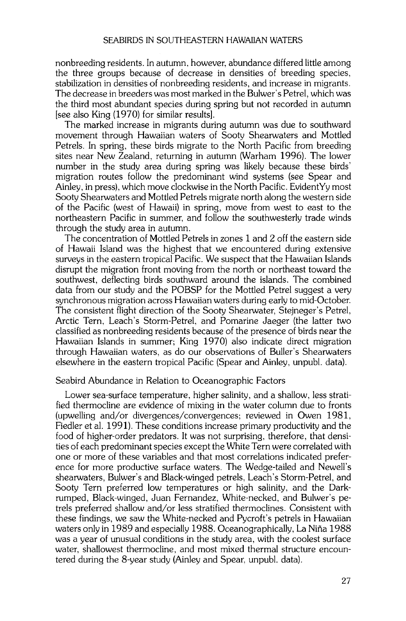**nonbreeding residents. In autumn, however, abundance differed little among the three groups because of decrease in densities of breeding species, stabilization in densities of nonbreeding residents, and increase in migrants. The decrease in breeders was most marked in the Bulwer's Petrel, which was the third most abundant species during spring but not recorded in autumn [see also King (1970) for similar results].** 

**The marked increase in migrants during autumn was due to southward movement through Hawaiian waters of Sooty Shearwaters and Mottled Petrels. In spring, these birds migrate to the North Pacific from breeding sites near New Zealand, returning in autumn (Warham 1996). The lower number in the study area during spring was likely because these birds' migration routes follow the predominant wind systems (see Spear and Ainley, in press), which move clockwise in the North Pacific. EvidentYy most Sooty Shearwaters and Mottled Petrels migrate north along the western side of the Pacific (west of Hawaii) in spring, move from west to east to the northeastern Pacific in summer, and follow the southwesterly trade winds through the study area in autumn.** 

**The concentration of Mottled Petrels in zones 1 and 2 off the eastern side of Hawaii Island was the highest that we encountered during extensive surveys in the eastern tropical Pacific. We suspect that the Hawaiian Islands**  disrupt the migration front moving from the north or northeast toward the **southwest, deflecting birds southward around the islands. The combined data from our study and the POBSP for the Mottled Petrel suggest a very synchronous migration across Hawaiian waters during early to mid-October. The consistent flight direction of the Sooty Shearwater, Stejneger's Petrel, Arctic Tern, Leach's Storm-Petrel, and Pomarine Jaeger (the latter two classified as nonbreeding residents because of the presence of birds near the Hawaiian Islands in summer; King 1970) also indicate direct migration through Hawaiian waters, as do our observations of Buller's Shearwaters elsewhere in the eastern tropical Pacific (Spear and Ainley, unpubl. data).** 

## **Seabird Abundance in Relation to Oceanographic Factors**

**Lower sea-surface temperature, higher salinity, and a shallow, less stratified thermocline are evidence of mixing in the water column due to fronts (upwelling and/or divergences/convergences; reviewed in Owen 1981, Fiedler et al. 1991). These conditions increase primary productivity and the food of higher-order predators. It was not surprising, therefore, that densities of each predominant species except the White Tern were correlated with one or more of these variables and that most correlations indicated preference for more productive surface waters. The Wedge-tailed and Newell's**  shearwaters, Bulwer's and Black-winged petrels, Leach's Storm-Petrel, and **Sooty Tern preferred low temperatures or high salinity, and the Darkrumped, Black-winged, Juan Fernandez, White-necked, and Bulwer's petrels preferred shallow and/or less stratified thermoclines. Consistent with these findings, we saw the White-necked and Pycroft's petrels in Hawaiian waters only in 1989 and especially 1988. Oceanographically, La Nifia 1988 was a year of unusual conditions in the study area, with the coolest surface water, shallowest thermocline, and most mixed thermal structure encountered during the 8-year study (Ainley and Spear, unpubl. data).**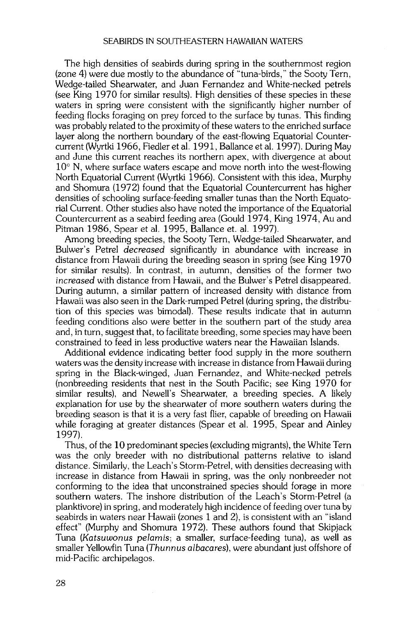**The high densities of seabirds during spring in the southernmost region (zone 4) were due mostly to the abundance of "tuna-birds," the Sooty Tern, Wedge-tailed Shearwater, and Juan Fernandez and White-necked petrels (see King 1970 for similar results). High densities of these species in these waters in spring were consistent with the significantly higher number of feeding flocks foraging on prey forced to the surface by tunas. This finding was probably related to the proximity of these waters to the enriched surface layer along the northern boundary of the east-flowing Equatorial Countercurrent (Wyrtki 1966, Fiedler et al. 1991, Ballance et al. 1997). During May and June this current reaches its northern apex, with divergence at about 10 ø N, where surface waters escape and move north into the west-flowing North Equatorial Current (Wyrtki 1966). Consistent with this idea, Murphy and Shomura (1972) found that the Equatorial Countercurrent has higher densities of schooling surface-feeding smaller tunas than the North Equatorial Current. Other studies also have noted the importance of the Equatorial Countercurrent as a seabird feeding area (Gould 1974, King 1974, Au and Pitman 1986, Spear et al. 1995, Ballance et. al. 1997).** 

**Among breeding species, the Sooty Tern, Wedge-tailed Shearwater, and Bulwer's Petrel decreased significantly in abundance with increase in distance from Hawaii during the breeding season in spring (see King 1970 for similar results). In contrast, in autumn, densities of the former two increased with distance from Hawaii, and the Bulwer's Petrel disappeared. During autumn, a similar pattern of increased density with distance from Hawaii was also seen in the Dark-rumped Petrel (during spring, the distribution of this species was bimodal). These results indicate that in autumn feeding conditions also were better in the southern part of the study area and, in turn, suggest that, to facilitate breeding, some species may have been constrained to feed in less productive waters near the Hawaiian Islands.** 

**Additional evidence indicating better food supply in the more southern waters was the density increase with increase in distance from Hawaii during spring in the Black-winged, Juan Fernandez, and White-necked petrels (nonbreeding residents that nest in the South Pacific; see King 1970 for similar results), and Newell's Shearwater, a breeding species. A likely explanation for use by the shearwater of more southern waters during the breeding season is that it is a very fast flier, capable of breeding on Hawaii while foraging at greater distances (Spear et al. 1995, Spear and Ainley 1997).** 

**Thus, of the 10 predominant species (excluding migrants), the White Tern was the only breeder with no distributional patterns relative to island distance. Similarly, the Leach's Storm-Petrel, with densities decreasing with increase in distance from Hawaii in spring, was the only nonbreeder not conforming to the idea that unconstrained species should forage in more southern waters. The inshore distribution of the Leach's Storm-Petrel (a planktivore) in spring, and moderately high incidence of feeding over tuna by seabirds in waters near Hawaii (zones 1 and 2), is consistent with an "island effect" (Murphy and Shomura 1972). These authors found that Skipjack Tuna (Katsuwonus pelamis; a smaller, surface-feeding tuna), as well as smaller Yellowfin Tuna (Thunnus albacares), were abundant just offshore of mid-Pacific archipelagos.**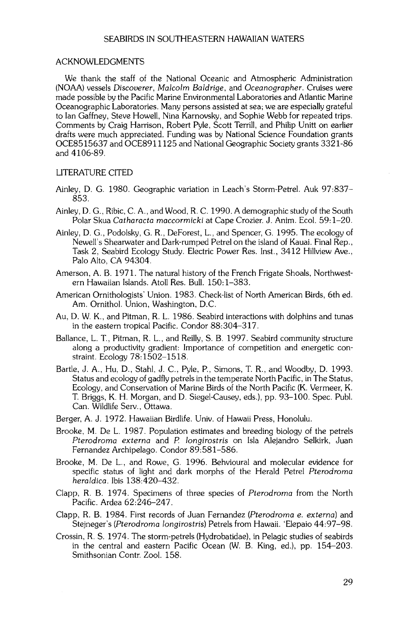#### **ACKNOWLEDGMENTS**

**We thank the staff of the National Oceanic and Atmospheric Administration (NOAA) vessels Discoverer, Malcolm Baldrige, and Oceanographer. Cruises were made possible by the Pacific Marine Environmental Laboratories and Atlantic Marine Oceanographic Laboratories. Many persons assisted at sea; we are especially grateful to Ian Gaffney, Steve Howell, Nina Karnovsky, and Sophie Webb for repeated trips. Comments by Craig Harrison, Robert Pyle, Scott Terrill, and Philip Unitt on earlier drafts were much appreciated. Funding was by National Science Foundation grants OCE8515637 and OCE8911125 and National Geographic Society grants 3321-86 and 4106-89.** 

## **LITERATURE CITED**

- **Ainley, D. G. 1980. Geographic variation in Leach's Storm-Petrel. Auk 97:837- 853.**
- **Ainley, D. G., Ribic, C. A., and Wood, R. C. 1990. A demographic study of the South Polar Skua Catharacta maccormicki at Cape Crozier. J. Anim. Ecol. 59:1-20.**
- **Ainley, D. G., Podolsky, G. R., DeForest, L., and Spencer, G. 1995. The ecology of Newell's Shearwater and Dark-rumped Petrel on the island of Kauai. Final Rep., Task 2, Seabird Ecology Study. Electric Power Res. Inst., 3412 Hillview Ave., Palo Alto, CA 94304.**
- **Amerson, A. B. 1971. The natural history of the French Frigate Shoals, Northwestern Hawaiian Islands. Atoll Res. Bull. 150:1-383.**
- **American Ornithologists' Union. 1983. Check-list of North American Birds, 6th ed. Am. Ornithol. Union, Washington, D.C.**
- **Au, D. W. K., and Pitman, R. L. 1986. Seabird interactions with dolphins and tunas in the eastern tropical Pacific. Condor 88:304-317.**
- **Ballance, L. T., Pitman, R. L., and Reilly, S. B. 1997. Seabird community structure along a productivity gradient: Importance of competition and energetic constraint. Ecology 78:1502-1518.**
- **Barfie, J. A., Hu, D., Stahl, J. C., Pyle, P., Simons, T. R., and Woodby, D. 1993. Status and ecology of gadfly petrels in the temperate North Pacific, in The Status, Ecology, and Conservation of Marine Birds of the North Pacific (K. Vermeer, K. T. Briggs, K. H. Morgan, and D. Siegel-Causey, eds.), pp. 93-100. Spec. Publ. Can. Wildlife Serv., Ottawa.**
- **Berger, A. J. 1972. Hawaiian Birdlife. Univ. of Hawaii Press, Honolulu.**
- **Brooke, M. De L. 1987. Population estimates and breeding biology of the petrels Pterodroma externa and P. Iongirostris on Isla Alejandro Selkirk, Juan Fernandez Archipelago. Condor 89:581-586.**
- **Brooke, M. De L., and Rowe, G. 1996. Behvioural and molecular evidence for specific status of light and dark morphs of the Herald Petrel Pterodroma heraldica. Ibis 138:420-432.**
- **Clapp, R. B. 1974. Specimens of three species of Pterodroma from the North Pacific. Ardea 62:246-247.**
- **Clapp, R. B. 1984. First records of Juan Fernandez (Pterodroma e. externa) and Stejneger's (Pterodroma Iongirostris) Petrels from Hawaii. 'Elepaio 44:97-98.**
- **Crossin, R. S. 1974. The storm-petrels (Hydrobatidae), in Pelagic studies of seabirds in the central and eastern Pacific Ocean (W. B. King, ed.), pp. 154-203. Smithsonian Contr. Zool. 158.**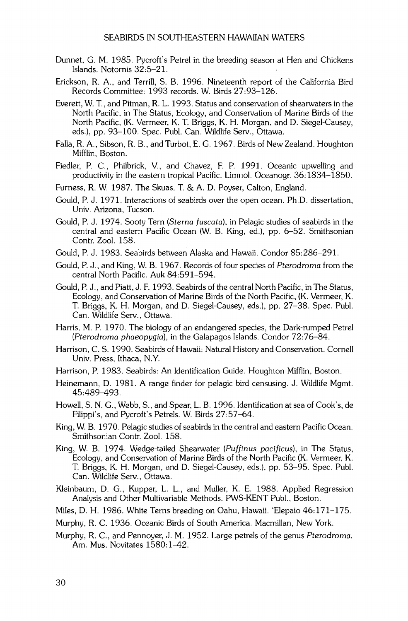- **Dunnet, G. M. 1985. Pycroft's Petrel in the breeding season at Hen and Chickens Islands. Notornis 32:5-21.**
- **Erickson, R. A., and Terrill, S. B. 1996. Nineteenth report of the California Bird Records Committee: 1993 records. W. Birds 27:93-126.**
- **Everett, W. T., and Pitman, R. L. 1993. Status and conservation of shearwaters in the North Pacific, in The Status, Ecology, and Conservation of Marine Birds of the North Pacific, (K. Vermeer, K. T. Briggs, K. H. Morgan, and D. Siegel-Causey, eds.), pp. 93-100. Spec. Publ. Can. Wildlife Serv., Ottawa.**
- **Falla, R. A., Sibson, R. B., and Turbot, E.G. 1967. Birds of New Zealand. Houghton Mifflin, Boston.**
- **Fiedler, P. C., Philbrick, V., and Chavez, E P. 1991. Oceanic upwelling and productivity in the eastern tropical Pacific. Limnol. Oceanogr. 36:1834-1850.**
- **Furness, R. W. 1987. The Skuas. T. & A.D. Poyser, Calton, England.**
- **Gould, P. J. 1971. Interactions of seabirds over the open ocean. Ph.D. dissertation, Univ. Arizona, Tucson.**
- **Gould, P. J. 1974. Sooty Tern (Sterna fuscata), in Pelagic studies of seabirds in the central and eastern Pacific Ocean (W. B. King, ed.), pp. 6-52. Smithsonian Contr. Zool. 158.**
- **Gould, P. J. 1983. Seabirds between Alaska and Hawaii. Condor 85:286-291.**
- **Gould, P. J., and King, W. B. 1967. Records of four species of Pterodroma from the central North Pacific. Auk 84:591-594.**
- **Gould, P. J., and Piatt, J. F. 1993. Seabirds of the central North Pacific, in The Status, Ecology, and Conservation of Marine Birds of the North Pacific, (K. Vermeer, K. T. Briggs, K. H. Morgan, and D. Siegel-Causey, eds.), pp. 27-38. Spec. Publ. Can. Wildlife Serv., Ottawa.**
- **Harris, M.P. 1970. The biology of an endangered species, the Dark-rumped Petrel (Pterodroma phaeopygia), in the Galapagos Islands. Condor 72:76-84.**
- **Harrison, C. S. 1990. Seabirds of Hawaii: Natural History and Conservation. Cornell Univ. Press, Ithaca, N.Y.**
- Harrison, P. 1983. Seabirds: An Identification Guide. Houghton Mifflin, Boston.
- Heinemann, D. 1981. A range finder for pelagic bird censusing. J. Wildlife Mgmt. **45:489-493.**
- **Howell, S. N. G., Webb, S., and Spear, L. B. 1996. Identification at sea of Cook's, de Filippi's, and Pycroft's Petrels. W. Birds 27:57-64.**
- **King, W. B. 1970. Pelagic studies of seabirds in the central and eastern Pacific Ocean. Smithsonian Contr. Zool. 158.**
- **King, W. B. 1974. Wedge-tailed Shearwater (Puffinus pacificus), in The Status, Ecology, and Conservation of Marine Birds of the North Pacific (K. Vermeer, K. T. Briggs, K. H. Morgan, and D. Siegel-Causey, eds.), pp. 53-95. Spec. Publ. Can. Wildlife Serv., Ottawa.**
- **Kleinbaum, D. G., Kupper, L. L., and Muller, K. E. 1988. Applied Regression Analysis and Other Multivariable Methods. PWS-KENT Publ., Boston.**

**Miles, D. H. 1986. White Terns breeding on Oahu, Hawaii. 'Elepaio 46:171-175.** 

- **Murphy, R. C. 1936. Oceanic Birds of South America. Macmillan, New York.**
- **Murphy, R. C., and Pennoyer, J. M. 1952. Large petrels of the genus Pterodroma. Am. Mus. Novitates 1580:1-42.**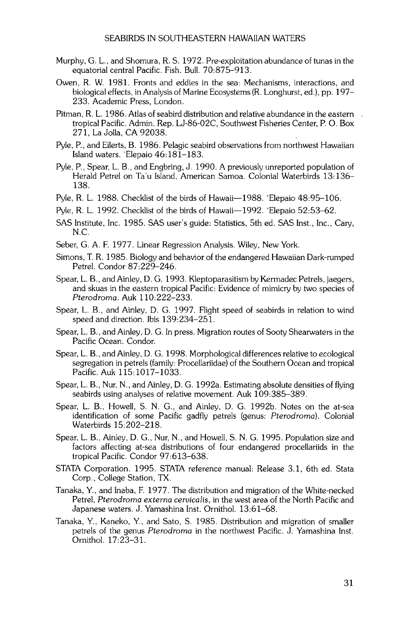- **Murphy, Go L., and Shomura, R. S. 1972. Pre-exploitation abundance of tunas in the equatorial central Pacific. Fish. Bull. 70:875-913.**
- **Owen, R. W. 1981. Fronts and eddies in the sea: Mechanisms, interactions, and biological effects, in Analysis of Marine Ecosystems (R. Longhurst, ed.), pp. 197- 233. Academic Press, London.**
- **Pitman, R. L. 1986. Atlas of seabird distribution and relative abundance in the eastern . tropical Pacific. Admin. Rep. LJ-86-02C, Southwest Fisheries Center, P.O. Box 271, La Jolla, CA 92038.**
- **Pyle, P., and Eilerts, B. 1986. Pelagic seabird observations from northwest Hawaiian Island waters. 'Elepaio 46:181-183.**
- **Pyle, P., Spear, L. B., and Engbring, J. 1990. A previously unreported population of Herald Petrel on Ta'u Island, American Samoa. Colonial Waterbirds 13:136- 138.**
- Pyle, R. L. 1988. Checklist of the birds of Hawaii-1988. 'Elepaio 48:95-106.
- Pyle, R. L. 1992. Checklist of the birds of Hawaii-1992. 'Elepaio 52:53-62.
- **SAS Institute, Inc. 1985. SAS user's guide: Statistics, 5th ed. SAS Inst., Inc., Cary, N.C.**
- **Seber, G. A. F. 1977. Linear Regression Analysis. Wiley, New York.**
- **Simons, T. R. 1985. Biology and behavior of the endangered Hawaiian Dark-rumped Petrel. Condor 87:229-246.**
- **Spear, L. B., and Ainley, D. G. 1993. Kleptoparasitism by Kermadec Petrels, jaegers, and skuas in the eastern tropical Pacific: Evidence of mimicry by two species of Pterodroma. Auk 110:222-233.**
- **Spear, L. B., and Ainley, D. G. 1997. Flight speed of seabirds in relation to wind speed and direction. Ibis 139:234-251.**
- **Spear, L. B., and Ainley, D. G. In press. Migration routes of Sooty Shearwaters in the Pacific Ocean. Condor.**
- **Spear, L. B., and Ainley, D. G. 1998. Morphological differences relative to ecological segregation in petrels (family: Procellariidae) of the Southern Ocean and tropical Pacific. Auk 115:1017-1033.**
- **Spear, L. B., Nur, N., and Ainley, D. G. 1992a. Estimating absolute densities of flying seabirds using analyses of relative movement. Auk 109:385-389.**
- Spear, L. B., Howell, S. N. G., and Ainley, D. G. 1992b. Notes on the at-sea **identification of some Pacific gadfly petrels (genus: Pterodroma). Colonial Waterbirds 15:202-218.**
- Spear, L. B., Ainley, D. G., Nur, N., and Howell, S. N. G. 1995. Population size and **factors affecting at-sea distributions of four endangered procellariids in the tropical Pacific. Condor 97:613-638.**
- **STATA Corporation. 1995. STATA reference manual: Release 3.1, 6th ed. Stata Corp., College Station, TX.**
- **Tanaka, Y., and Inaba, F. 1977. The distribution and migration of the White-necked Petrel, Pterodroma externa cervicalis, in the west area of the North Pacific and Japanese waters. J. Yamashina Inst. Ornithol. 13:61-68.**
- **Tanaka, Y., Kaneko, Y., and Sato, S. 1985. Distribution and migration of smaller petrels of the genus Pterodroma in the northwest Pacific. J. Yamashina Inst. Ornithol. 17:23-31.**